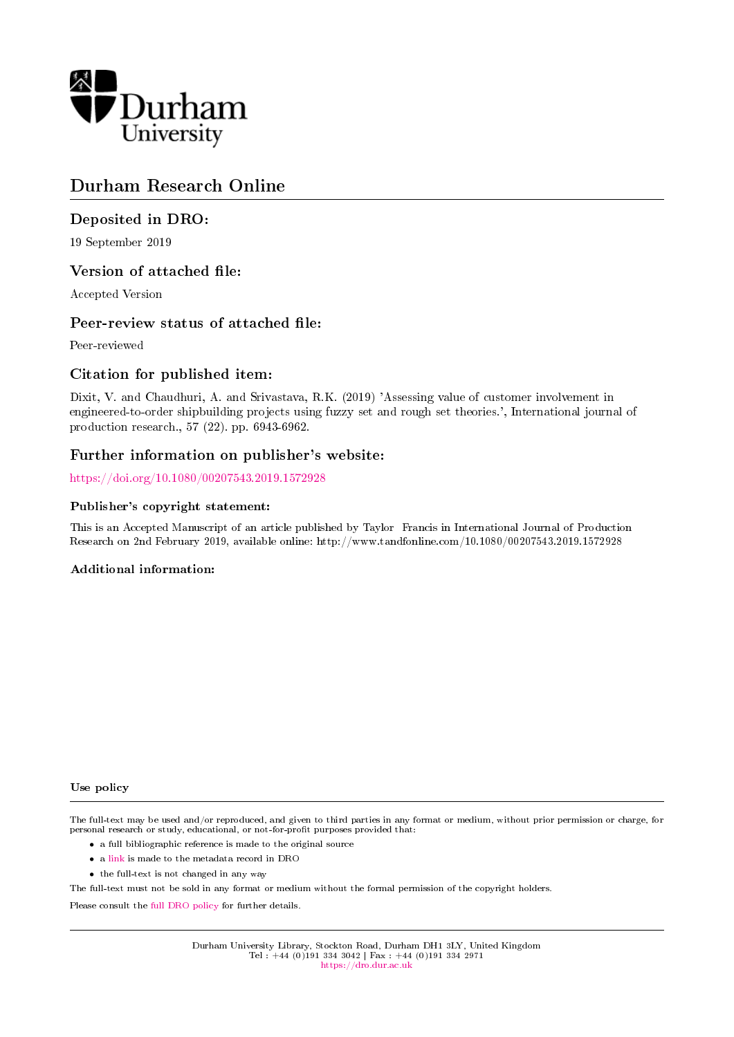

## Durham Research Online

## Deposited in DRO:

19 September 2019

## Version of attached file:

Accepted Version

## Peer-review status of attached file:

Peer-reviewed

## Citation for published item:

Dixit, V. and Chaudhuri, A. and Srivastava, R.K. (2019) 'Assessing value of customer involvement in engineered-to-order shipbuilding projects using fuzzy set and rough set theories.', International journal of production research., 57 (22). pp. 6943-6962.

## Further information on publisher's website:

<https://doi.org/10.1080/00207543.2019.1572928>

#### Publisher's copyright statement:

This is an Accepted Manuscript of an article published by Taylor Francis in International Journal of Production Research on 2nd February 2019, available online: http://www.tandfonline.com/10.1080/00207543.2019.1572928

#### Additional information:

#### Use policy

The full-text may be used and/or reproduced, and given to third parties in any format or medium, without prior permission or charge, for personal research or study, educational, or not-for-profit purposes provided that:

- a full bibliographic reference is made to the original source
- a [link](http://dro.dur.ac.uk/29124/) is made to the metadata record in DRO
- the full-text is not changed in any way

The full-text must not be sold in any format or medium without the formal permission of the copyright holders.

Please consult the [full DRO policy](https://dro.dur.ac.uk/policies/usepolicy.pdf) for further details.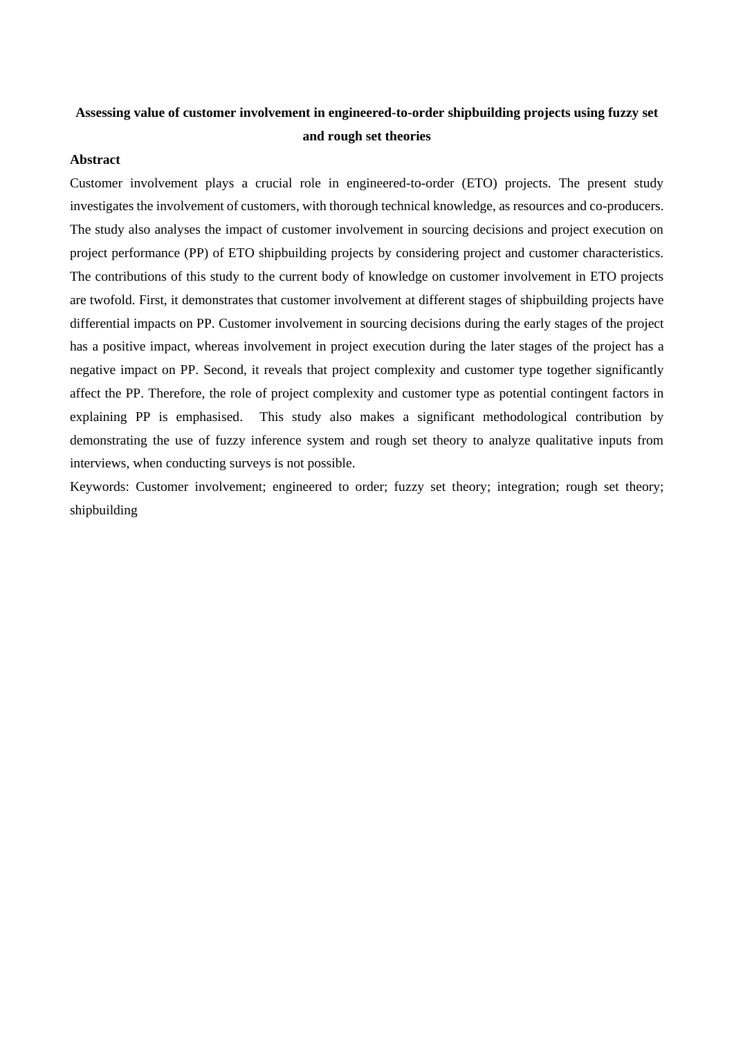## **Assessing value of customer involvement in engineered-to-order shipbuilding projects using fuzzy set and rough set theories**

### **Abstract**

Customer involvement plays a crucial role in engineered-to-order (ETO) projects. The present study investigates the involvement of customers, with thorough technical knowledge, as resources and co-producers. The study also analyses the impact of customer involvement in sourcing decisions and project execution on project performance (PP) of ETO shipbuilding projects by considering project and customer characteristics. The contributions of this study to the current body of knowledge on customer involvement in ETO projects are twofold. First, it demonstrates that customer involvement at different stages of shipbuilding projects have differential impacts on PP. Customer involvement in sourcing decisions during the early stages of the project has a positive impact, whereas involvement in project execution during the later stages of the project has a negative impact on PP. Second, it reveals that project complexity and customer type together significantly affect the PP. Therefore, the role of project complexity and customer type as potential contingent factors in explaining PP is emphasised. This study also makes a significant methodological contribution by demonstrating the use of fuzzy inference system and rough set theory to analyze qualitative inputs from interviews, when conducting surveys is not possible.

Keywords: Customer involvement; engineered to order; fuzzy set theory; integration; rough set theory; shipbuilding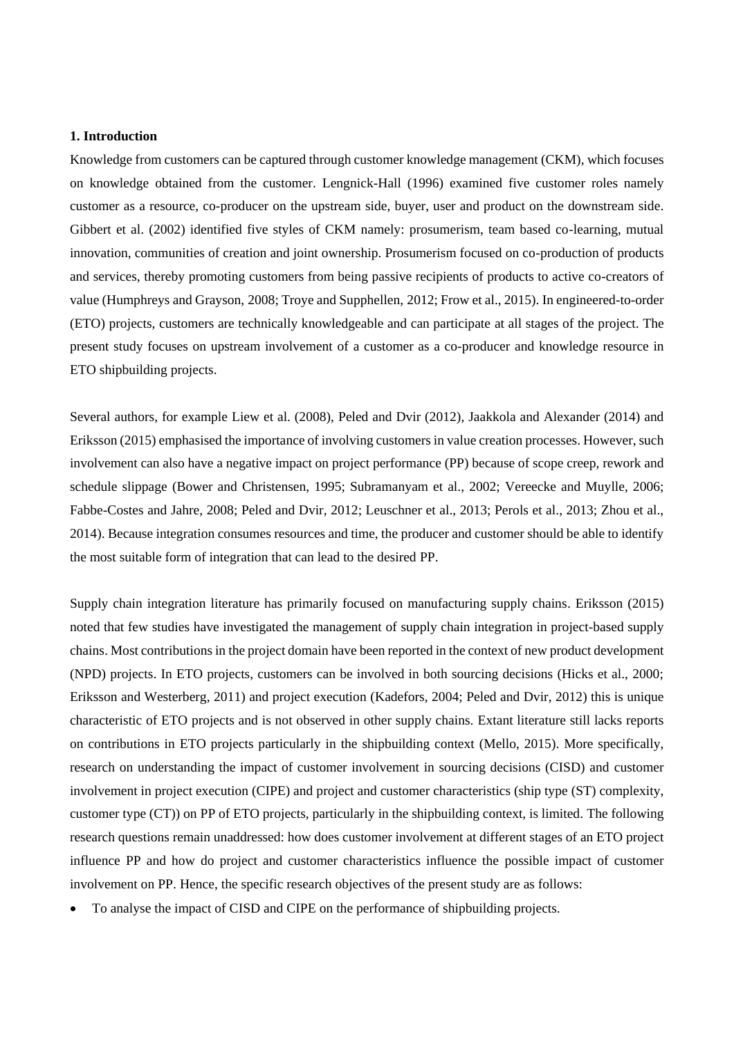#### **1. Introduction**

Knowledge from customers can be captured through customer knowledge management (CKM), which focuses on knowledge obtained from the customer. Lengnick-Hall (1996) examined five customer roles namely customer as a resource, co-producer on the upstream side, buyer, user and product on the downstream side. Gibbert et al. (2002) identified five styles of CKM namely: prosumerism, team based co-learning, mutual innovation, communities of creation and joint ownership. Prosumerism focused on co-production of products and services, thereby promoting customers from being passive recipients of products to active co-creators of value (Humphreys and Grayson, 2008; Troye and Supphellen, 2012; Frow et al., 2015). In engineered-to-order (ETO) projects, customers are technically knowledgeable and can participate at all stages of the project. The present study focuses on upstream involvement of a customer as a co-producer and knowledge resource in ETO shipbuilding projects.

Several authors, for example Liew et al. (2008), Peled and Dvir (2012), Jaakkola and Alexander (2014) and Eriksson (2015) emphasised the importance of involving customers in value creation processes. However, such involvement can also have a negative impact on project performance (PP) because of scope creep, rework and schedule slippage (Bower and Christensen, 1995; Subramanyam et al., 2002; Vereecke and Muylle, 2006; Fabbe-Costes and Jahre, 2008; Peled and Dvir, 2012; Leuschner et al., 2013; Perols et al., 2013; Zhou et al., 2014). Because integration consumes resources and time, the producer and customer should be able to identify the most suitable form of integration that can lead to the desired PP.

Supply chain integration literature has primarily focused on manufacturing supply chains. Eriksson (2015) noted that few studies have investigated the management of supply chain integration in project-based supply chains. Most contributions in the project domain have been reported in the context of new product development (NPD) projects. In ETO projects, customers can be involved in both sourcing decisions (Hicks et al., 2000; Eriksson and Westerberg, 2011) and project execution (Kadefors, 2004; Peled and Dvir, 2012) this is unique characteristic of ETO projects and is not observed in other supply chains. Extant literature still lacks reports on contributions in ETO projects particularly in the shipbuilding context (Mello, 2015). More specifically, research on understanding the impact of customer involvement in sourcing decisions (CISD) and customer involvement in project execution (CIPE) and project and customer characteristics (ship type (ST) complexity, customer type (CT)) on PP of ETO projects, particularly in the shipbuilding context, is limited. The following research questions remain unaddressed: how does customer involvement at different stages of an ETO project influence PP and how do project and customer characteristics influence the possible impact of customer involvement on PP. Hence, the specific research objectives of the present study are as follows:

To analyse the impact of CISD and CIPE on the performance of shipbuilding projects.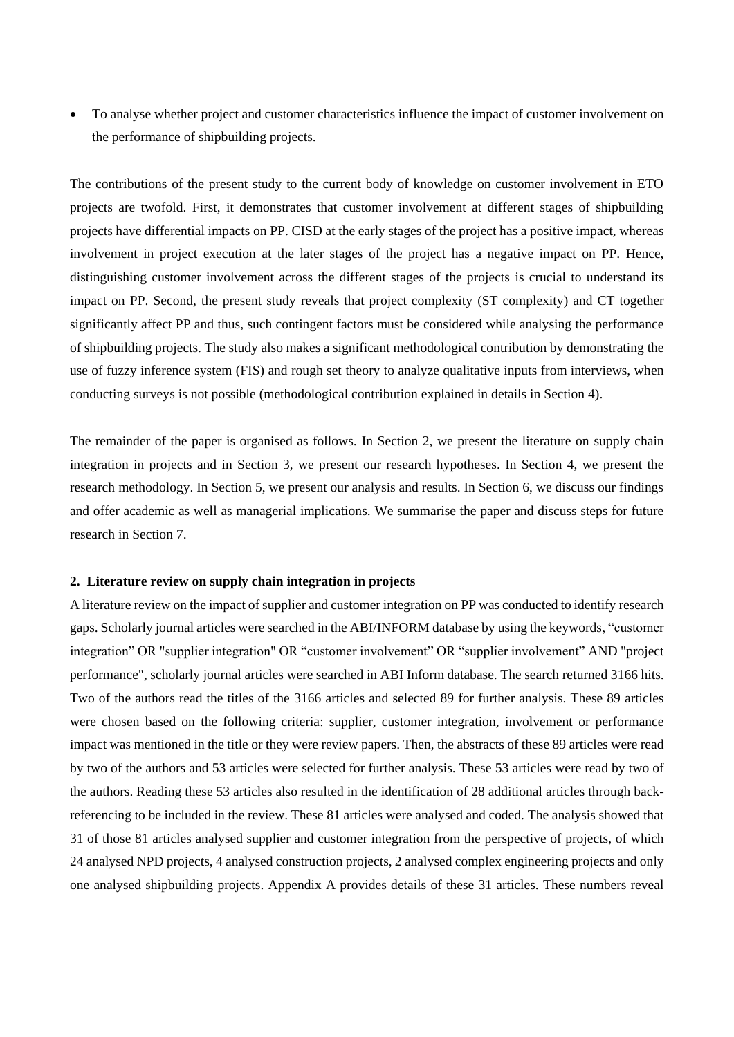To analyse whether project and customer characteristics influence the impact of customer involvement on the performance of shipbuilding projects.

The contributions of the present study to the current body of knowledge on customer involvement in ETO projects are twofold. First, it demonstrates that customer involvement at different stages of shipbuilding projects have differential impacts on PP. CISD at the early stages of the project has a positive impact, whereas involvement in project execution at the later stages of the project has a negative impact on PP. Hence, distinguishing customer involvement across the different stages of the projects is crucial to understand its impact on PP. Second, the present study reveals that project complexity (ST complexity) and CT together significantly affect PP and thus, such contingent factors must be considered while analysing the performance of shipbuilding projects. The study also makes a significant methodological contribution by demonstrating the use of fuzzy inference system (FIS) and rough set theory to analyze qualitative inputs from interviews, when conducting surveys is not possible (methodological contribution explained in details in Section 4).

The remainder of the paper is organised as follows. In Section 2, we present the literature on supply chain integration in projects and in Section 3, we present our research hypotheses. In Section 4, we present the research methodology. In Section 5, we present our analysis and results. In Section 6, we discuss our findings and offer academic as well as managerial implications. We summarise the paper and discuss steps for future research in Section 7.

#### **2. Literature review on supply chain integration in projects**

A literature review on the impact of supplier and customer integration on PP was conducted to identify research gaps. Scholarly journal articles were searched in the ABI/INFORM database by using the keywords, "customer integration" OR "supplier integration" OR "customer involvement" OR "supplier involvement" AND "project performance", scholarly journal articles were searched in ABI Inform database. The search returned 3166 hits. Two of the authors read the titles of the 3166 articles and selected 89 for further analysis. These 89 articles were chosen based on the following criteria: supplier, customer integration, involvement or performance impact was mentioned in the title or they were review papers. Then, the abstracts of these 89 articles were read by two of the authors and 53 articles were selected for further analysis. These 53 articles were read by two of the authors. Reading these 53 articles also resulted in the identification of 28 additional articles through backreferencing to be included in the review. These 81 articles were analysed and coded. The analysis showed that 31 of those 81 articles analysed supplier and customer integration from the perspective of projects, of which 24 analysed NPD projects, 4 analysed construction projects, 2 analysed complex engineering projects and only one analysed shipbuilding projects. Appendix A provides details of these 31 articles. These numbers reveal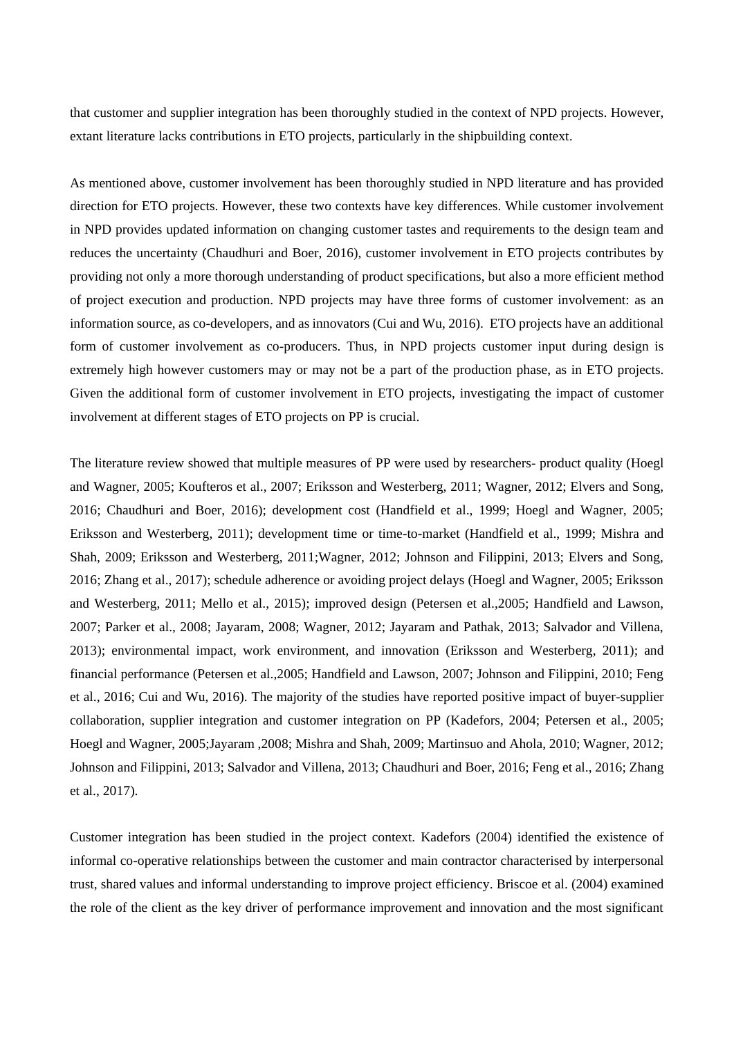that customer and supplier integration has been thoroughly studied in the context of NPD projects. However, extant literature lacks contributions in ETO projects, particularly in the shipbuilding context.

As mentioned above, customer involvement has been thoroughly studied in NPD literature and has provided direction for ETO projects. However, these two contexts have key differences. While customer involvement in NPD provides updated information on changing customer tastes and requirements to the design team and reduces the uncertainty (Chaudhuri and Boer, 2016), customer involvement in ETO projects contributes by providing not only a more thorough understanding of product specifications, but also a more efficient method of project execution and production. NPD projects may have three forms of customer involvement: as an information source, as co-developers, and as innovators (Cui and Wu, 2016). ETO projects have an additional form of customer involvement as co-producers. Thus, in NPD projects customer input during design is extremely high however customers may or may not be a part of the production phase, as in ETO projects. Given the additional form of customer involvement in ETO projects, investigating the impact of customer involvement at different stages of ETO projects on PP is crucial.

The literature review showed that multiple measures of PP were used by researchers- product quality (Hoegl and Wagner, 2005; Koufteros et al., 2007; Eriksson and Westerberg, 2011; Wagner, 2012; Elvers and Song, 2016; Chaudhuri and Boer, 2016); development cost (Handfield et al., 1999; Hoegl and Wagner, 2005; Eriksson and Westerberg, 2011); development time or time-to-market (Handfield et al., 1999; Mishra and Shah, 2009; Eriksson and Westerberg, 2011;Wagner, 2012; Johnson and Filippini, 2013; Elvers and Song, 2016; Zhang et al., 2017); schedule adherence or avoiding project delays (Hoegl and Wagner, 2005; Eriksson and Westerberg, 2011; Mello et al., 2015); improved design (Petersen et al.,2005; Handfield and Lawson, 2007; Parker et al., 2008; Jayaram, 2008; Wagner, 2012; Jayaram and Pathak, 2013; Salvador and Villena, 2013); environmental impact, work environment, and innovation (Eriksson and Westerberg, 2011); and financial performance (Petersen et al.,2005; Handfield and Lawson, 2007; Johnson and Filippini, 2010; Feng et al., 2016; Cui and Wu, 2016). The majority of the studies have reported positive impact of buyer-supplier collaboration, supplier integration and customer integration on PP (Kadefors, 2004; Petersen et al., 2005; Hoegl and Wagner, 2005;Jayaram ,2008; Mishra and Shah, 2009; Martinsuo and Ahola, 2010; Wagner, 2012; Johnson and Filippini, 2013; Salvador and Villena, 2013; Chaudhuri and Boer, 2016; Feng et al., 2016; Zhang et al., 2017).

Customer integration has been studied in the project context. Kadefors (2004) identified the existence of informal co-operative relationships between the customer and main contractor characterised by interpersonal trust, shared values and informal understanding to improve project efficiency. Briscoe et al. (2004) examined the role of the client as the key driver of performance improvement and innovation and the most significant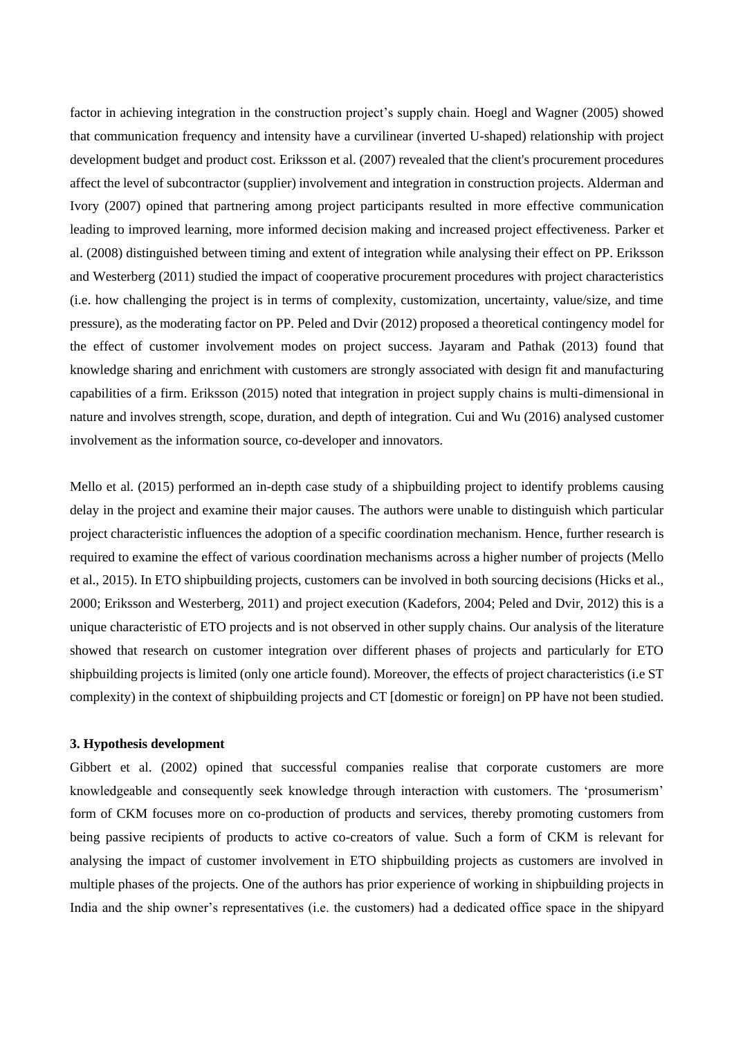factor in achieving integration in the construction project's supply chain. Hoegl and Wagner (2005) showed that communication frequency and intensity have a curvilinear (inverted U-shaped) relationship with project development budget and product cost. Eriksson et al. (2007) revealed that the client's procurement procedures affect the level of subcontractor (supplier) involvement and integration in construction projects. Alderman and Ivory (2007) opined that partnering among project participants resulted in more effective communication leading to improved learning, more informed decision making and increased project effectiveness*.* Parker et al. (2008) distinguished between timing and extent of integration while analysing their effect on PP. Eriksson and Westerberg (2011) studied the impact of cooperative procurement procedures with project characteristics (i.e. how challenging the project is in terms of complexity, customization, uncertainty, value/size, and time pressure), as the moderating factor on PP. Peled and Dvir (2012) proposed a theoretical contingency model for the effect of customer involvement modes on project success. Jayaram and Pathak (2013) found that knowledge sharing and enrichment with customers are strongly associated with design fit and manufacturing capabilities of a firm. Eriksson (2015) noted that integration in project supply chains is multi-dimensional in nature and involves strength, scope, duration, and depth of integration. Cui and Wu (2016) analysed customer involvement as the information source, co-developer and innovators.

Mello et al. (2015) performed an in-depth case study of a shipbuilding project to identify problems causing delay in the project and examine their major causes. The authors were unable to distinguish which particular project characteristic influences the adoption of a specific coordination mechanism. Hence, further research is required to examine the effect of various coordination mechanisms across a higher number of projects (Mello et al., 2015). In ETO shipbuilding projects, customers can be involved in both sourcing decisions (Hicks et al., 2000; Eriksson and Westerberg, 2011) and project execution (Kadefors, 2004; Peled and Dvir, 2012) this is a unique characteristic of ETO projects and is not observed in other supply chains. Our analysis of the literature showed that research on customer integration over different phases of projects and particularly for ETO shipbuilding projects is limited (only one article found). Moreover, the effects of project characteristics (i.e ST complexity) in the context of shipbuilding projects and CT [domestic or foreign] on PP have not been studied.

#### **3. Hypothesis development**

Gibbert et al. (2002) opined that successful companies realise that corporate customers are more knowledgeable and consequently seek knowledge through interaction with customers. The 'prosumerism' form of CKM focuses more on co-production of products and services, thereby promoting customers from being passive recipients of products to active co-creators of value. Such a form of CKM is relevant for analysing the impact of customer involvement in ETO shipbuilding projects as customers are involved in multiple phases of the projects. One of the authors has prior experience of working in shipbuilding projects in India and the ship owner's representatives (i.e. the customers) had a dedicated office space in the shipyard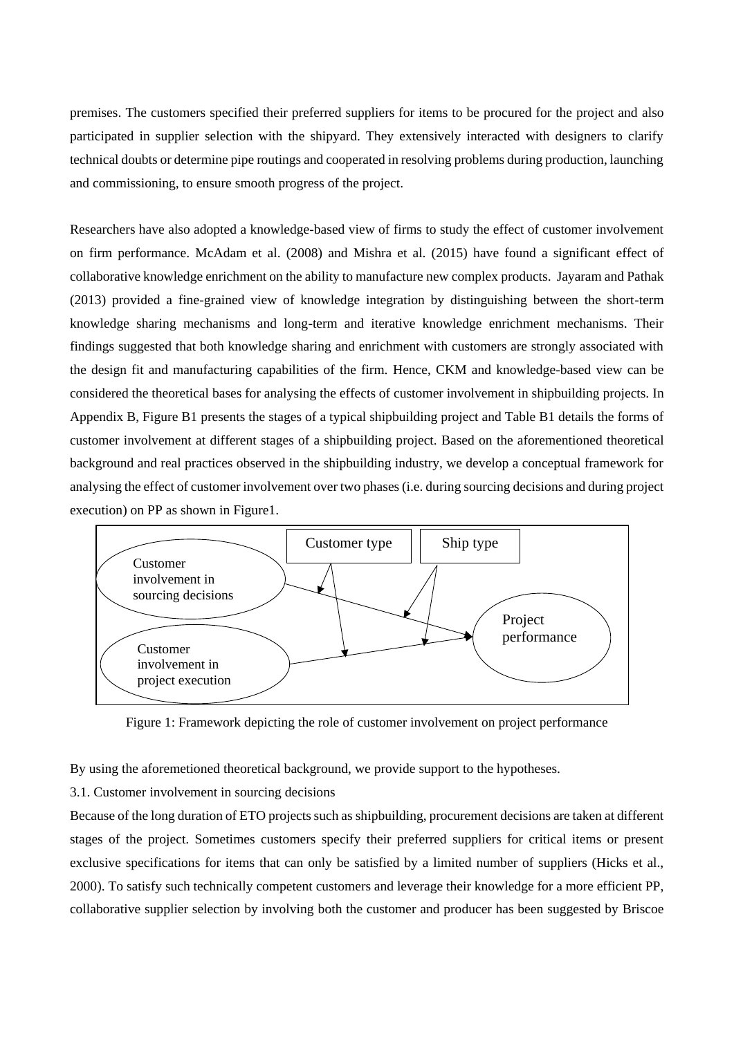premises. The customers specified their preferred suppliers for items to be procured for the project and also participated in supplier selection with the shipyard. They extensively interacted with designers to clarify technical doubts or determine pipe routings and cooperated in resolving problems during production, launching and commissioning, to ensure smooth progress of the project.

Researchers have also adopted a knowledge-based view of firms to study the effect of customer involvement on firm performance. McAdam et al. (2008) and Mishra et al. (2015) have found a significant effect of collaborative knowledge enrichment on the ability to manufacture new complex products. Jayaram and Pathak (2013) provided a fine-grained view of knowledge integration by distinguishing between the short-term knowledge sharing mechanisms and long-term and iterative knowledge enrichment mechanisms. Their findings suggested that both knowledge sharing and enrichment with customers are strongly associated with the design fit and manufacturing capabilities of the firm. Hence, CKM and knowledge-based view can be considered the theoretical bases for analysing the effects of customer involvement in shipbuilding projects. In Appendix B, Figure B1 presents the stages of a typical shipbuilding project and Table B1 details the forms of customer involvement at different stages of a shipbuilding project. Based on the aforementioned theoretical background and real practices observed in the shipbuilding industry, we develop a conceptual framework for analysing the effect of customer involvement over two phases (i.e. during sourcing decisions and during project execution) on PP as shown in Figure1.



Figure 1: Framework depicting the role of customer involvement on project performance

By using the aforemetioned theoretical background, we provide support to the hypotheses.

### 3.1. Customer involvement in sourcing decisions

Because of the long duration of ETO projects such as shipbuilding, procurement decisions are taken at different stages of the project. Sometimes customers specify their preferred suppliers for critical items or present exclusive specifications for items that can only be satisfied by a limited number of suppliers (Hicks et al., 2000). To satisfy such technically competent customers and leverage their knowledge for a more efficient PP, collaborative supplier selection by involving both the customer and producer has been suggested by Briscoe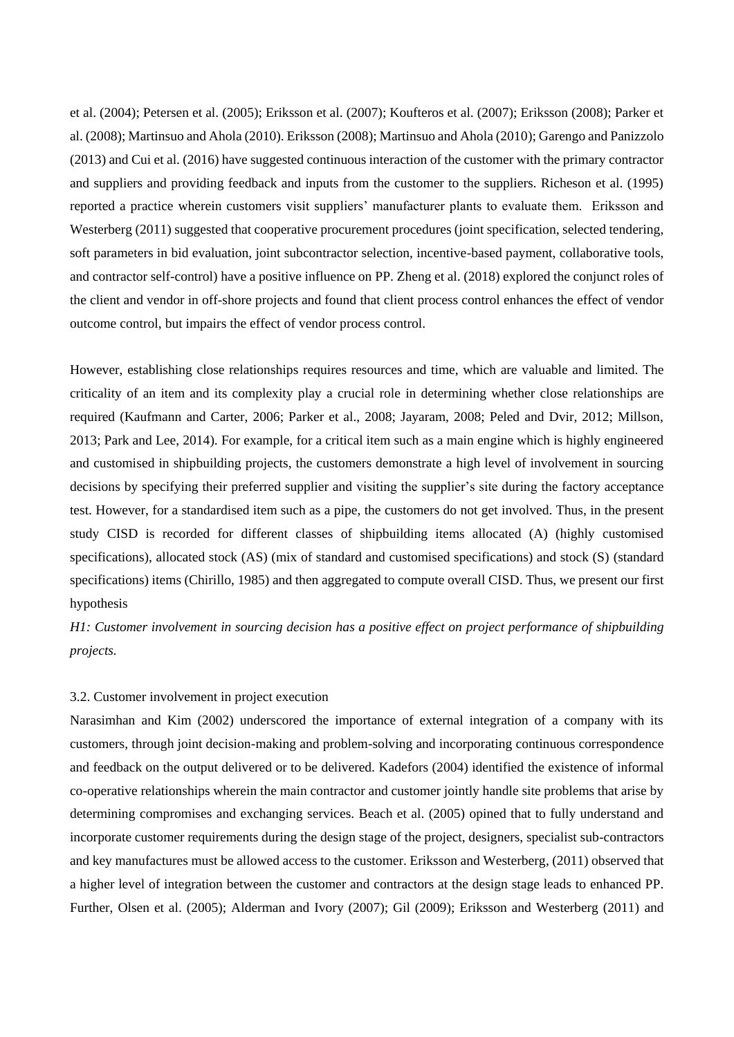et al. (2004); Petersen et al. (2005); Eriksson et al. (2007); Koufteros et al. (2007); Eriksson (2008); Parker et al. (2008); Martinsuo and Ahola (2010). Eriksson (2008); Martinsuo and Ahola (2010); Garengo and Panizzolo (2013) and Cui et al. (2016) have suggested continuous interaction of the customer with the primary contractor and suppliers and providing feedback and inputs from the customer to the suppliers. Richeson et al. (1995) reported a practice wherein customers visit suppliers' manufacturer plants to evaluate them. Eriksson and Westerberg (2011) suggested that cooperative procurement procedures (joint specification, selected tendering, soft parameters in bid evaluation, joint subcontractor selection, incentive-based payment, collaborative tools, and contractor self-control) have a positive influence on PP. Zheng et al. (2018) explored the conjunct roles of the client and vendor in off-shore projects and found that client process control enhances the effect of vendor outcome control, but impairs the effect of vendor process control.

However, establishing close relationships requires resources and time, which are valuable and limited. The criticality of an item and its complexity play a crucial role in determining whether close relationships are required (Kaufmann and Carter, 2006; Parker et al., 2008; Jayaram, 2008; Peled and Dvir, 2012; Millson, 2013; Park and Lee, 2014). For example, for a critical item such as a main engine which is highly engineered and customised in shipbuilding projects, the customers demonstrate a high level of involvement in sourcing decisions by specifying their preferred supplier and visiting the supplier's site during the factory acceptance test. However, for a standardised item such as a pipe, the customers do not get involved. Thus, in the present study CISD is recorded for different classes of shipbuilding items allocated (A) (highly customised specifications), allocated stock (AS) (mix of standard and customised specifications) and stock (S) (standard specifications) items (Chirillo, 1985) and then aggregated to compute overall CISD. Thus, we present our first hypothesis

*H1: Customer involvement in sourcing decision has a positive effect on project performance of shipbuilding projects.*

#### 3.2. Customer involvement in project execution

Narasimhan and Kim (2002) underscored the importance of external integration of a company with its customers, through joint decision-making and problem-solving and incorporating continuous correspondence and feedback on the output delivered or to be delivered. Kadefors (2004) identified the existence of informal co-operative relationships wherein the main contractor and customer jointly handle site problems that arise by determining compromises and exchanging services. Beach et al. (2005) opined that to fully understand and incorporate customer requirements during the design stage of the project, designers, specialist sub-contractors and key manufactures must be allowed access to the customer. Eriksson and Westerberg, (2011) observed that a higher level of integration between the customer and contractors at the design stage leads to enhanced PP. Further, Olsen et al. (2005); Alderman and Ivory (2007); Gil (2009); Eriksson and Westerberg (2011) and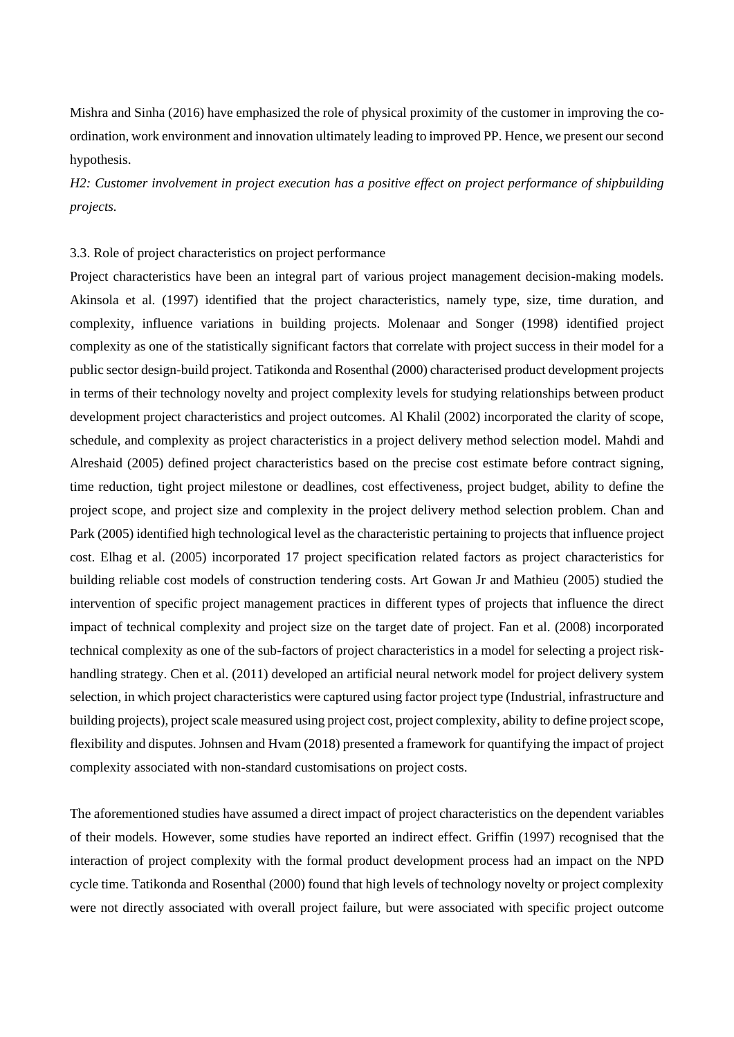Mishra and Sinha (2016) have emphasized the role of physical proximity of the customer in improving the coordination, work environment and innovation ultimately leading to improved PP. Hence, we present our second hypothesis.

*H2: Customer involvement in project execution has a positive effect on project performance of shipbuilding projects.*

### 3.3. Role of project characteristics on project performance

Project characteristics have been an integral part of various project management decision-making models. Akinsola et al. (1997) identified that the project characteristics, namely type, size, time duration, and complexity, influence variations in building projects. Molenaar and Songer (1998) identified project complexity as one of the statistically significant factors that correlate with project success in their model for a public sector design-build project. Tatikonda and Rosenthal (2000) characterised product development projects in terms of their technology novelty and project complexity levels for studying relationships between product development project characteristics and project outcomes. Al Khalil (2002) incorporated the clarity of scope, schedule, and complexity as project characteristics in a project delivery method selection model. Mahdi and Alreshaid (2005) defined project characteristics based on the precise cost estimate before contract signing, time reduction, tight project milestone or deadlines, cost effectiveness, project budget, ability to define the project scope, and project size and complexity in the project delivery method selection problem. Chan and Park (2005) identified high technological level as the characteristic pertaining to projects that influence project cost. Elhag et al. (2005) incorporated 17 project specification related factors as project characteristics for building reliable cost models of construction tendering costs. Art Gowan Jr and Mathieu (2005) studied the intervention of specific project management practices in different types of projects that influence the direct impact of technical complexity and project size on the target date of project. Fan et al. (2008) incorporated technical complexity as one of the sub-factors of project characteristics in a model for selecting a project riskhandling strategy. Chen et al. (2011) developed an artificial neural network model for project delivery system selection, in which project characteristics were captured using factor project type (Industrial, infrastructure and building projects), project scale measured using project cost, project complexity, ability to define project scope, flexibility and disputes. Johnsen and Hvam (2018) presented a framework for quantifying the impact of project complexity associated with non-standard customisations on project costs.

The aforementioned studies have assumed a direct impact of project characteristics on the dependent variables of their models. However, some studies have reported an indirect effect. Griffin (1997) recognised that the interaction of project complexity with the formal product development process had an impact on the NPD cycle time. Tatikonda and Rosenthal (2000) found that high levels of technology novelty or project complexity were not directly associated with overall project failure, but were associated with specific project outcome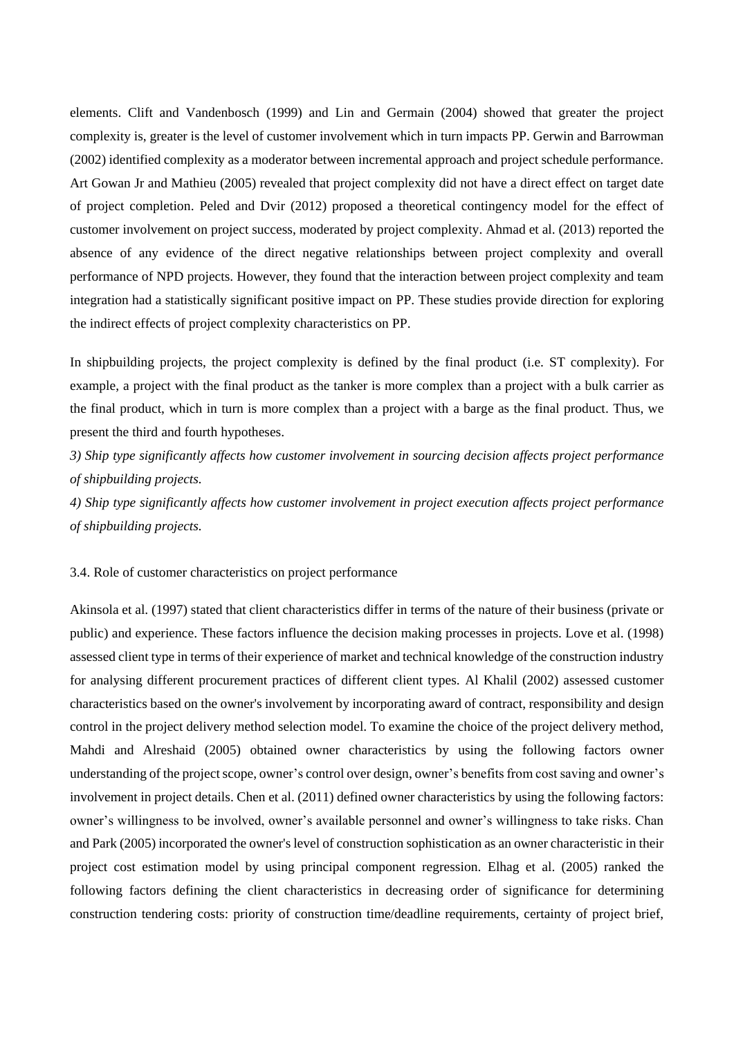elements. Clift and Vandenbosch (1999) and Lin and Germain (2004) showed that greater the project complexity is, greater is the level of customer involvement which in turn impacts PP. Gerwin and Barrowman (2002) identified complexity as a moderator between incremental approach and project schedule performance. Art Gowan Jr and Mathieu (2005) revealed that project complexity did not have a direct effect on target date of project completion. Peled and Dvir (2012) proposed a theoretical contingency model for the effect of customer involvement on project success, moderated by project complexity. Ahmad et al. (2013) reported the absence of any evidence of the direct negative relationships between project complexity and overall performance of NPD projects. However, they found that the interaction between project complexity and team integration had a statistically significant positive impact on PP. These studies provide direction for exploring the indirect effects of project complexity characteristics on PP.

In shipbuilding projects, the project complexity is defined by the final product (i.e. ST complexity). For example, a project with the final product as the tanker is more complex than a project with a bulk carrier as the final product, which in turn is more complex than a project with a barge as the final product. Thus, we present the third and fourth hypotheses.

*3) Ship type significantly affects how customer involvement in sourcing decision affects project performance of shipbuilding projects.*

*4) Ship type significantly affects how customer involvement in project execution affects project performance of shipbuilding projects.*

#### 3.4. Role of customer characteristics on project performance

Akinsola et al. (1997) stated that client characteristics differ in terms of the nature of their business (private or public) and experience. These factors influence the decision making processes in projects. Love et al. (1998) assessed client type in terms of their experience of market and technical knowledge of the construction industry for analysing different procurement practices of different client types. Al Khalil (2002) assessed customer characteristics based on the owner's involvement by incorporating award of contract, responsibility and design control in the project delivery method selection model. To examine the choice of the project delivery method, Mahdi and Alreshaid (2005) obtained owner characteristics by using the following factors owner understanding of the project scope, owner's control over design, owner's benefits from cost saving and owner's involvement in project details. Chen et al. (2011) defined owner characteristics by using the following factors: owner's willingness to be involved, owner's available personnel and owner's willingness to take risks. Chan and Park (2005) incorporated the owner's level of construction sophistication as an owner characteristic in their project cost estimation model by using principal component regression. Elhag et al. (2005) ranked the following factors defining the client characteristics in decreasing order of significance for determining construction tendering costs: priority of construction time/deadline requirements, certainty of project brief,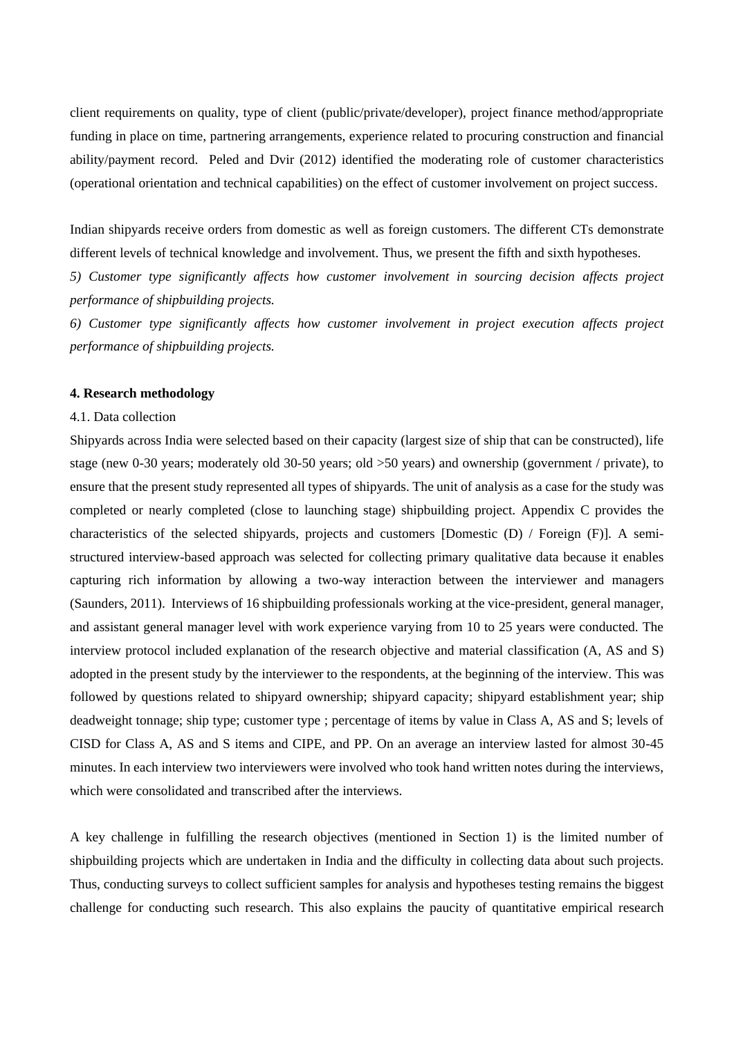client requirements on quality, type of client (public/private/developer), project finance method/appropriate funding in place on time, partnering arrangements, experience related to procuring construction and financial ability/payment record. Peled and Dvir (2012) identified the moderating role of customer characteristics (operational orientation and technical capabilities) on the effect of customer involvement on project success.

Indian shipyards receive orders from domestic as well as foreign customers. The different CTs demonstrate different levels of technical knowledge and involvement. Thus, we present the fifth and sixth hypotheses.

*5) Customer type significantly affects how customer involvement in sourcing decision affects project performance of shipbuilding projects.*

*6) Customer type significantly affects how customer involvement in project execution affects project performance of shipbuilding projects.*

#### **4. Research methodology**

#### 4.1. Data collection

Shipyards across India were selected based on their capacity (largest size of ship that can be constructed), life stage (new 0-30 years; moderately old 30-50 years; old >50 years) and ownership (government / private), to ensure that the present study represented all types of shipyards. The unit of analysis as a case for the study was completed or nearly completed (close to launching stage) shipbuilding project. Appendix C provides the characteristics of the selected shipyards, projects and customers [Domestic (D) / Foreign (F)]. A semistructured interview-based approach was selected for collecting primary qualitative data because it enables capturing rich information by allowing a two-way interaction between the interviewer and managers (Saunders, 2011). Interviews of 16 shipbuilding professionals working at the vice-president, general manager, and assistant general manager level with work experience varying from 10 to 25 years were conducted. The interview protocol included explanation of the research objective and material classification (A, AS and S) adopted in the present study by the interviewer to the respondents, at the beginning of the interview. This was followed by questions related to shipyard ownership; shipyard capacity; shipyard establishment year; ship deadweight tonnage; ship type; customer type ; percentage of items by value in Class A, AS and S; levels of CISD for Class A, AS and S items and CIPE, and PP. On an average an interview lasted for almost 30-45 minutes. In each interview two interviewers were involved who took hand written notes during the interviews, which were consolidated and transcribed after the interviews.

A key challenge in fulfilling the research objectives (mentioned in Section 1) is the limited number of shipbuilding projects which are undertaken in India and the difficulty in collecting data about such projects. Thus, conducting surveys to collect sufficient samples for analysis and hypotheses testing remains the biggest challenge for conducting such research. This also explains the paucity of quantitative empirical research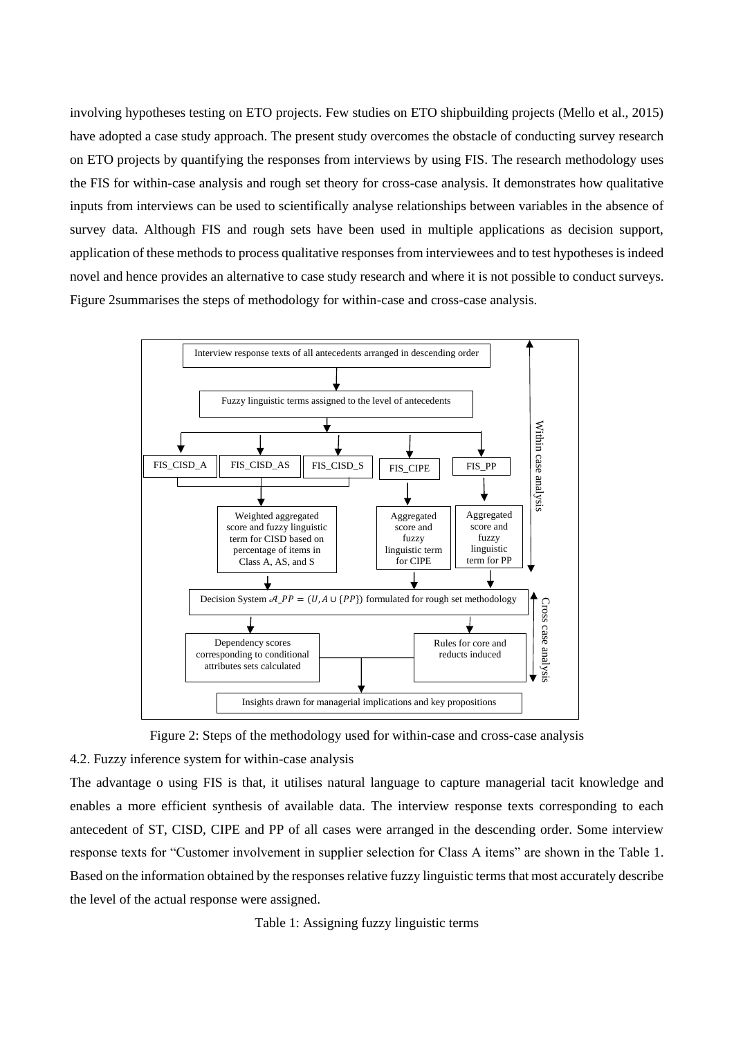involving hypotheses testing on ETO projects. Few studies on ETO shipbuilding projects (Mello et al., 2015) have adopted a case study approach. The present study overcomes the obstacle of conducting survey research on ETO projects by quantifying the responses from interviews by using FIS. The research methodology uses the FIS for within-case analysis and rough set theory for cross-case analysis. It demonstrates how qualitative inputs from interviews can be used to scientifically analyse relationships between variables in the absence of survey data. Although FIS and rough sets have been used in multiple applications as decision support, application of these methods to process qualitative responses from interviewees and to test hypotheses is indeed novel and hence provides an alternative to case study research and where it is not possible to conduct surveys. Figure 2summarises the steps of methodology for within-case and cross-case analysis.



Figure 2: Steps of the methodology used for within-case and cross-case analysis

### 4.2. Fuzzy inference system for within-case analysis

The advantage o using FIS is that, it utilises natural language to capture managerial tacit knowledge and enables a more efficient synthesis of available data. The interview response texts corresponding to each antecedent of ST, CISD, CIPE and PP of all cases were arranged in the descending order. Some interview response texts for "Customer involvement in supplier selection for Class A items" are shown in the Table 1. Based on the information obtained by the responses relative fuzzy linguistic terms that most accurately describe the level of the actual response were assigned.

Table 1: Assigning fuzzy linguistic terms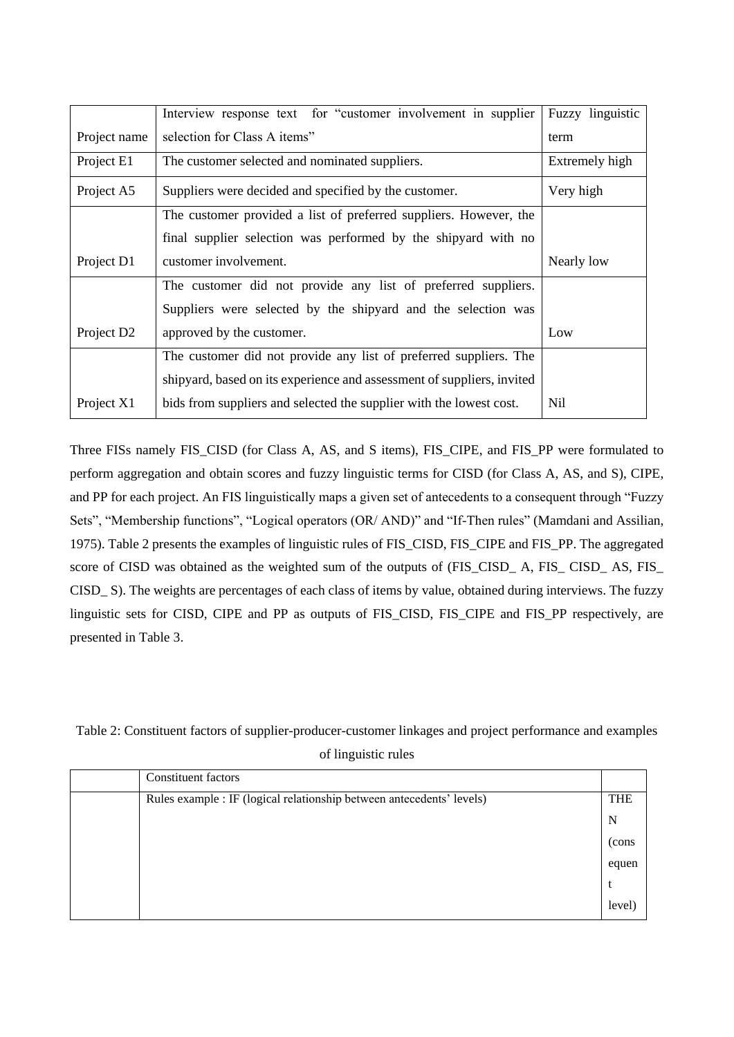|                        | Interview response text for "customer involvement in supplier          | Fuzzy linguistic |
|------------------------|------------------------------------------------------------------------|------------------|
| Project name           | selection for Class A items"                                           | term             |
| Project E1             | The customer selected and nominated suppliers.                         | Extremely high   |
| Project A5             | Suppliers were decided and specified by the customer.                  | Very high        |
|                        | The customer provided a list of preferred suppliers. However, the      |                  |
|                        | final supplier selection was performed by the shipyard with no         |                  |
| Project D1             | customer involvement.                                                  | Nearly low       |
|                        | The customer did not provide any list of preferred suppliers.          |                  |
|                        | Suppliers were selected by the shipyard and the selection was          |                  |
| Project D <sub>2</sub> | approved by the customer.                                              | Low              |
|                        | The customer did not provide any list of preferred suppliers. The      |                  |
|                        | shipyard, based on its experience and assessment of suppliers, invited |                  |
| Project X1             | bids from suppliers and selected the supplier with the lowest cost.    | Nil              |

Three FISs namely FIS\_CISD (for Class A, AS, and S items), FIS\_CIPE, and FIS\_PP were formulated to perform aggregation and obtain scores and fuzzy linguistic terms for CISD (for Class A, AS, and S), CIPE, and PP for each project. An FIS linguistically maps a given set of antecedents to a consequent through "Fuzzy Sets", "Membership functions", "Logical operators (OR/ AND)" and "If-Then rules" (Mamdani and Assilian, 1975). Table 2 presents the examples of linguistic rules of FIS\_CISD, FIS\_CIPE and FIS\_PP. The aggregated score of CISD was obtained as the weighted sum of the outputs of (FIS\_CISD\_ A, FIS\_ CISD\_ AS, FIS\_ CISD\_ S). The weights are percentages of each class of items by value, obtained during interviews. The fuzzy linguistic sets for CISD, CIPE and PP as outputs of FIS\_CISD, FIS\_CIPE and FIS\_PP respectively, are presented in Table 3.

Table 2: Constituent factors of supplier-producer-customer linkages and project performance and examples of linguistic rules

| <b>Constituent factors</b>                                            |            |
|-----------------------------------------------------------------------|------------|
| Rules example : IF (logical relationship between antecedents' levels) | <b>THE</b> |
|                                                                       | N          |
|                                                                       | (cons      |
|                                                                       | equen      |
|                                                                       |            |
|                                                                       | level)     |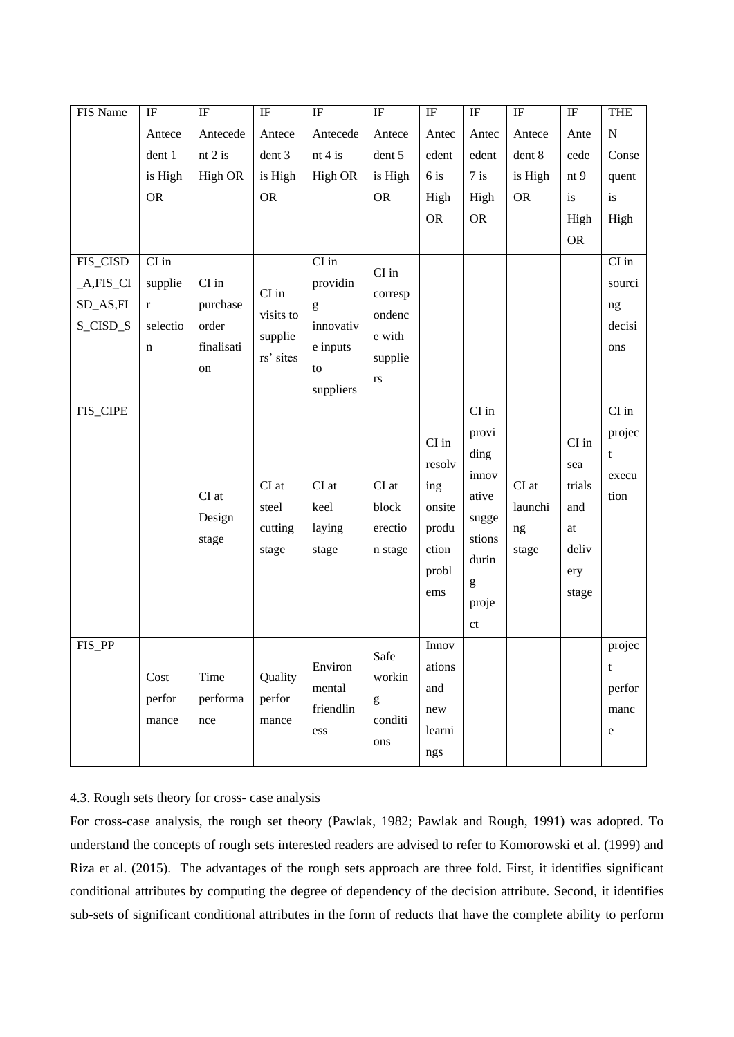| FIS Name      | IF          | $\rm IF$   | $\rm IF$             | $\rm IF$                                                                                                                                                                                                                                                                                                                                                                                                                       | $\rm IF$                                                         | $\rm IF$  | $\rm IF$                                                                                                                                                                                                                                                                                                                                                                                                                       | $\rm IF$   | $\rm IF$            | <b>THE</b>  |
|---------------|-------------|------------|----------------------|--------------------------------------------------------------------------------------------------------------------------------------------------------------------------------------------------------------------------------------------------------------------------------------------------------------------------------------------------------------------------------------------------------------------------------|------------------------------------------------------------------|-----------|--------------------------------------------------------------------------------------------------------------------------------------------------------------------------------------------------------------------------------------------------------------------------------------------------------------------------------------------------------------------------------------------------------------------------------|------------|---------------------|-------------|
|               | Antece      | Antecede   | Antece               | Antecede                                                                                                                                                                                                                                                                                                                                                                                                                       | Antece                                                           | Antec     | Antec                                                                                                                                                                                                                                                                                                                                                                                                                          | Antece     | Ante                | ${\bf N}$   |
|               | dent 1      | nt 2 is    | dent 3               | nt $4$ is                                                                                                                                                                                                                                                                                                                                                                                                                      | dent 5                                                           | edent     | edent                                                                                                                                                                                                                                                                                                                                                                                                                          | dent 8     | cede                | Conse       |
|               | is High     | High OR    | is High              | High OR                                                                                                                                                                                                                                                                                                                                                                                                                        | is High                                                          | 6 is      | $7$ is                                                                                                                                                                                                                                                                                                                                                                                                                         | is High    | nt <sub>9</sub>     | quent       |
|               | <b>OR</b>   |            | <b>OR</b>            |                                                                                                                                                                                                                                                                                                                                                                                                                                | <b>OR</b>                                                        | High      | High                                                                                                                                                                                                                                                                                                                                                                                                                           | ${\sf OR}$ | is                  | is          |
|               |             |            |                      |                                                                                                                                                                                                                                                                                                                                                                                                                                |                                                                  | <b>OR</b> | <b>OR</b>                                                                                                                                                                                                                                                                                                                                                                                                                      |            | High                | High        |
|               |             |            |                      |                                                                                                                                                                                                                                                                                                                                                                                                                                |                                                                  |           |                                                                                                                                                                                                                                                                                                                                                                                                                                |            | <b>OR</b>           |             |
| FIS_CISD      | $CI$ in     |            |                      | $CI$ in                                                                                                                                                                                                                                                                                                                                                                                                                        | $\mathop{\rm CI}\nolimits$ in                                    |           |                                                                                                                                                                                                                                                                                                                                                                                                                                |            |                     | $CI$ in     |
| $_A, FIS_C I$ | supplie     | CI in      | CI in                | providin                                                                                                                                                                                                                                                                                                                                                                                                                       |                                                                  |           |                                                                                                                                                                                                                                                                                                                                                                                                                                |            |                     | sourci      |
| SD_AS,FI      | $\mathbf r$ | purchase   |                      | $\mathbf{g}% _{T}=\mathbf{g}_{T}=\mathbf{g}_{T}=\mathbf{g}_{T}=\mathbf{g}_{T}=\mathbf{g}_{T}=\mathbf{g}_{T}=\mathbf{g}_{T}=\mathbf{g}_{T}=\mathbf{g}_{T}=\mathbf{g}_{T}=\mathbf{g}_{T}=\mathbf{g}_{T}=\mathbf{g}_{T}=\mathbf{g}_{T}=\mathbf{g}_{T}=\mathbf{g}_{T}=\mathbf{g}_{T}=\mathbf{g}_{T}=\mathbf{g}_{T}=\mathbf{g}_{T}=\mathbf{g}_{T}=\mathbf{g}_{T}=\mathbf{g}_{T}=\mathbf{g}_{T}=\mathbf{g}_{T}=\mathbf{g}_{T}=\math$ | corresp                                                          |           |                                                                                                                                                                                                                                                                                                                                                                                                                                |            |                     | ng          |
| S_CISD_S      | selectio    | order      | visits to            | innovativ                                                                                                                                                                                                                                                                                                                                                                                                                      | ondenc<br>e with                                                 |           |                                                                                                                                                                                                                                                                                                                                                                                                                                |            |                     | decisi      |
|               | $\mathbf n$ | finalisati | supplie<br>rs' sites | e inputs                                                                                                                                                                                                                                                                                                                                                                                                                       |                                                                  |           |                                                                                                                                                                                                                                                                                                                                                                                                                                |            |                     | ons         |
|               |             | on         |                      | to                                                                                                                                                                                                                                                                                                                                                                                                                             | supplie                                                          |           |                                                                                                                                                                                                                                                                                                                                                                                                                                |            |                     |             |
|               |             |            |                      | suppliers                                                                                                                                                                                                                                                                                                                                                                                                                      | $\mathbf{r}\mathbf{s}$                                           |           |                                                                                                                                                                                                                                                                                                                                                                                                                                |            |                     |             |
| FIS_CIPE      |             |            |                      |                                                                                                                                                                                                                                                                                                                                                                                                                                |                                                                  |           | $\mathop{\rm CI}\nolimits$ in                                                                                                                                                                                                                                                                                                                                                                                                  |            |                     | $CI$ in     |
|               |             |            |                      |                                                                                                                                                                                                                                                                                                                                                                                                                                |                                                                  | $CI$ in   | provi                                                                                                                                                                                                                                                                                                                                                                                                                          |            | CI in               | projec      |
|               |             |            |                      |                                                                                                                                                                                                                                                                                                                                                                                                                                |                                                                  | resolv    | ding                                                                                                                                                                                                                                                                                                                                                                                                                           |            | sea                 | $\mathbf t$ |
|               |             |            | CI at                | $CI$ at                                                                                                                                                                                                                                                                                                                                                                                                                        | $CI$ at                                                          | ing       | innov                                                                                                                                                                                                                                                                                                                                                                                                                          | CI at      | trials              | execu       |
|               |             | CI at      | steel                | keel                                                                                                                                                                                                                                                                                                                                                                                                                           | block                                                            | onsite    | ative                                                                                                                                                                                                                                                                                                                                                                                                                          | launchi    | and                 | tion        |
|               |             | Design     | cutting              | laying                                                                                                                                                                                                                                                                                                                                                                                                                         | erectio                                                          | produ     | sugge                                                                                                                                                                                                                                                                                                                                                                                                                          |            | $\operatorname{at}$ |             |
|               |             | stage      | stage                | stage                                                                                                                                                                                                                                                                                                                                                                                                                          |                                                                  | ction     | stions                                                                                                                                                                                                                                                                                                                                                                                                                         | ng         | deliv               |             |
|               |             |            |                      |                                                                                                                                                                                                                                                                                                                                                                                                                                | n stage                                                          |           | durin                                                                                                                                                                                                                                                                                                                                                                                                                          | stage      |                     |             |
|               |             |            |                      |                                                                                                                                                                                                                                                                                                                                                                                                                                |                                                                  | probl     | $\mathbf{g}% _{T}=\mathbf{g}_{T}=\mathbf{g}_{T}=\mathbf{g}_{T}=\mathbf{g}_{T}=\mathbf{g}_{T}=\mathbf{g}_{T}=\mathbf{g}_{T}=\mathbf{g}_{T}=\mathbf{g}_{T}=\mathbf{g}_{T}=\mathbf{g}_{T}=\mathbf{g}_{T}=\mathbf{g}_{T}=\mathbf{g}_{T}=\mathbf{g}_{T}=\mathbf{g}_{T}=\mathbf{g}_{T}=\mathbf{g}_{T}=\mathbf{g}_{T}=\mathbf{g}_{T}=\mathbf{g}_{T}=\mathbf{g}_{T}=\mathbf{g}_{T}=\mathbf{g}_{T}=\mathbf{g}_{T}=\mathbf{g}_{T}=\math$ |            | ery                 |             |
|               |             |            |                      |                                                                                                                                                                                                                                                                                                                                                                                                                                |                                                                  | ems       | proje                                                                                                                                                                                                                                                                                                                                                                                                                          |            | stage               |             |
|               |             |            |                      |                                                                                                                                                                                                                                                                                                                                                                                                                                |                                                                  |           | ct                                                                                                                                                                                                                                                                                                                                                                                                                             |            |                     |             |
| FIS_PP        |             |            |                      |                                                                                                                                                                                                                                                                                                                                                                                                                                | Safe                                                             | Innov     |                                                                                                                                                                                                                                                                                                                                                                                                                                |            |                     | projec      |
|               | Cost        | Time       | Quality              | Environ                                                                                                                                                                                                                                                                                                                                                                                                                        | workin                                                           | ations    |                                                                                                                                                                                                                                                                                                                                                                                                                                |            |                     | $\mathbf t$ |
|               | perfor      | performa   | perfor               | mental                                                                                                                                                                                                                                                                                                                                                                                                                         |                                                                  | and       |                                                                                                                                                                                                                                                                                                                                                                                                                                |            |                     | perfor      |
|               | mance       | nce        | mance                | friendlin                                                                                                                                                                                                                                                                                                                                                                                                                      | $\mathbf{g}% _{0}\left( \mathbf{r},\mathbf{r}\right)$<br>conditi | new       |                                                                                                                                                                                                                                                                                                                                                                                                                                |            |                     | manc        |
|               |             |            |                      | ess                                                                                                                                                                                                                                                                                                                                                                                                                            | ons                                                              | learni    |                                                                                                                                                                                                                                                                                                                                                                                                                                |            |                     | ${\bf e}$   |
|               |             |            |                      |                                                                                                                                                                                                                                                                                                                                                                                                                                |                                                                  | ngs       |                                                                                                                                                                                                                                                                                                                                                                                                                                |            |                     |             |

## 4.3. Rough sets theory for cross- case analysis

For cross-case analysis, the rough set theory (Pawlak, 1982; Pawlak and Rough, 1991) was adopted. To understand the concepts of rough sets interested readers are advised to refer to Komorowski et al. (1999) and Riza et al. (2015). The advantages of the rough sets approach are three fold. First, it identifies significant conditional attributes by computing the degree of dependency of the decision attribute. Second, it identifies sub-sets of significant conditional attributes in the form of reducts that have the complete ability to perform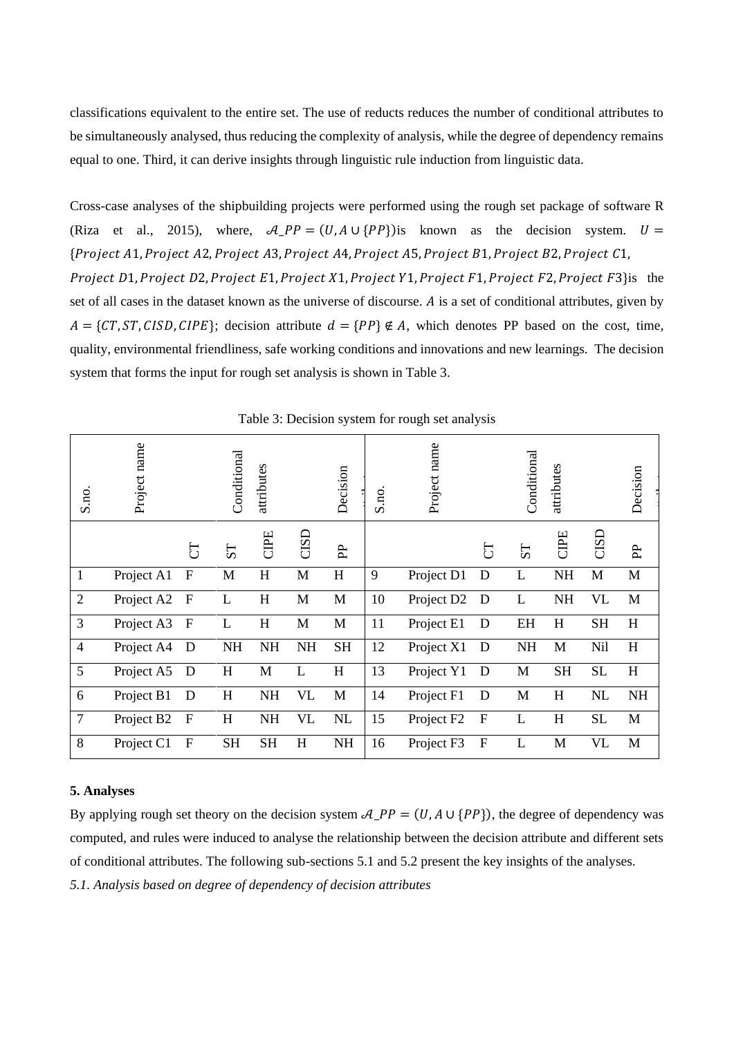classifications equivalent to the entire set. The use of reducts reduces the number of conditional attributes to be simultaneously analysed, thus reducing the complexity of analysis, while the degree of dependency remains equal to one. Third, it can derive insights through linguistic rule induction from linguistic data.

Cross-case analyses of the shipbuilding projects were performed using the rough set package of software R (Riza et al., 2015), where,  $A_{P}P = (U, A \cup \{PP\})$  is known as the decision system.  $U =$ {Project A1, Project A2, Project A3, Project A4, Project A5, Project B1, Project B2, Project C1, Project D1, Project D2, Project E1, Project X1, Project Y1, Project F1, Project F2, Project F3 $\}$ is the set of all cases in the dataset known as the universe of discourse. A is a set of conditional attributes, given by  $A = \{CT, ST, CISD, CIPE\};$  decision attribute  $d = \{PP\} \notin A$ , which denotes PP based on the cost, time, quality, environmental friendliness, safe working conditions and innovations and new learnings. The decision system that forms the input for rough set analysis is shown in Table 3.

| S.no.          | Project name |              | Conditional    | attributes |           | Decision     | S.no. | Project name           |             | Conditional    | attributes |           | Decision  |
|----------------|--------------|--------------|----------------|------------|-----------|--------------|-------|------------------------|-------------|----------------|------------|-----------|-----------|
|                |              | J            | S <sub>T</sub> | CIPE       | CISLO     | E            |       |                        | IJ          | S <sub>T</sub> | CIPE       | CISD      | <b>PP</b> |
| $\mathbf{1}$   | Project A1   | $\mathbf F$  | M              | H          | M         | H            | 9     | Project D1             | D           | L              | <b>NH</b>  | M         | M         |
| $\overline{2}$ | Project A2   | $\mathbf{F}$ | L              | H          | M         | $\mathbf{M}$ | 10    | Project D2             | D           | L              | <b>NH</b>  | VL        | M         |
| 3              | Project A3   | $\mathbf F$  | L              | H          | M         | M            | 11    | Project E1             | D           | EH             | H          | <b>SH</b> | H         |
| $\overline{4}$ | Project A4   | D            | NH             | <b>NH</b>  | <b>NH</b> | <b>SH</b>    | 12    | Project X1             | D           | NH             | M          | Nil       | H         |
| 5              | Project A5   | D            | H              | M          | L         | H            | 13    | Project Y1             | D           | M              | <b>SH</b>  | <b>SL</b> | H         |
| 6              | Project B1   | D            | H              | NH         | <b>VL</b> | $\mathbf M$  | 14    | Project F1             | D           | M              | H          | NL        | <b>NH</b> |
| $\overline{7}$ | Project B2   | $\mathbf F$  | H              | NH         | <b>VL</b> | NL           | 15    | Project F <sub>2</sub> | $\mathbf F$ | L              | H          | <b>SL</b> | M         |
| 8              | Project C1   | $\mathbf F$  | <b>SH</b>      | <b>SH</b>  | $H_{\rm}$ | NH           | 16    | Project F3             | $\mathbf F$ | L              | M          | <b>VL</b> | M         |

Table 3: Decision system for rough set analysis

#### **5. Analyses**

By applying rough set theory on the decision system  $A_{P}P = (U, A \cup \{PP\})$ , the degree of dependency was computed, and rules were induced to analyse the relationship between the decision attribute and different sets of conditional attributes. The following sub-sections 5.1 and 5.2 present the key insights of the analyses. *5.1. Analysis based on degree of dependency of decision attributes*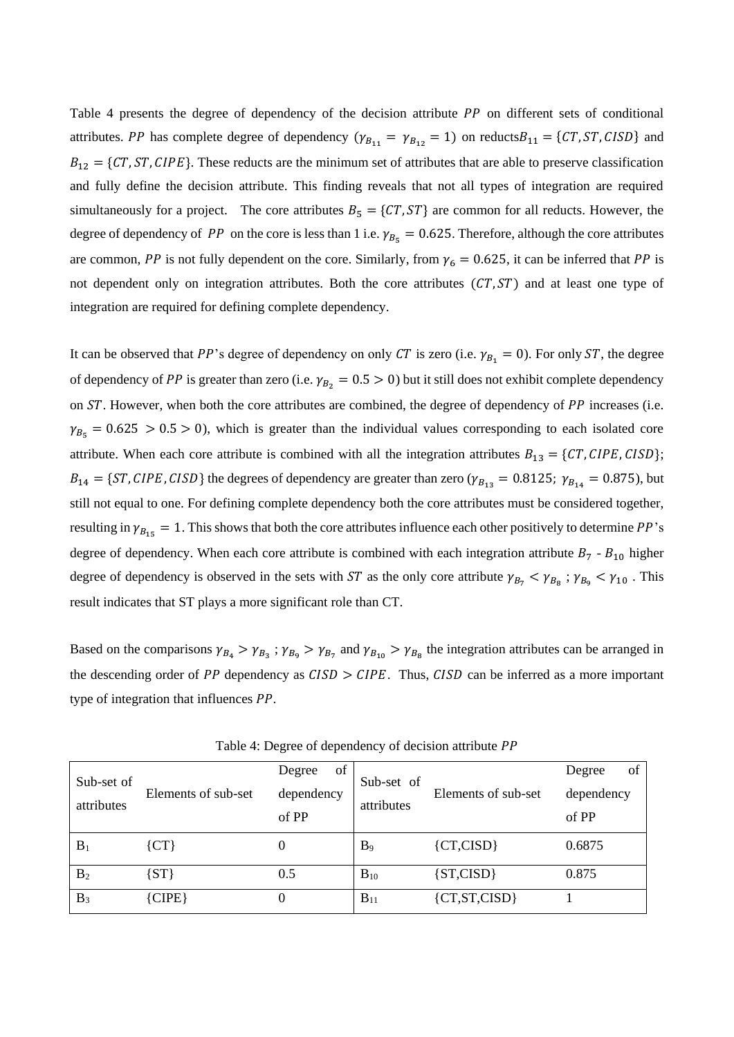Table 4 presents the degree of dependency of the decision attribute  $PP$  on different sets of conditional attributes. PP has complete degree of dependency  $(\gamma_{B_{11}} = \gamma_{B_{12}} = 1)$  on reducts  $B_{11} = \{CT, ST, CISD\}$  and  $B_{12} = \{CT, ST, CIPE\}$ . These reducts are the minimum set of attributes that are able to preserve classification and fully define the decision attribute. This finding reveals that not all types of integration are required simultaneously for a project. The core attributes  $B_5 = \{CT, ST\}$  are common for all reducts. However, the degree of dependency of PP on the core is less than 1 i.e.  $\gamma_{B_5} = 0.625$ . Therefore, although the core attributes are common, PP is not fully dependent on the core. Similarly, from  $\gamma_6 = 0.625$ , it can be inferred that PP is not dependent only on integration attributes. Both the core attributes  $(CT, ST)$  and at least one type of integration are required for defining complete dependency.

It can be observed that PP's degree of dependency on only CT is zero (i.e.  $\gamma_{B_1} = 0$ ). For only ST, the degree of dependency of PP is greater than zero (i.e.  $\gamma_{B_2} = 0.5 > 0$ ) but it still does not exhibit complete dependency on  $ST$ . However, when both the core attributes are combined, the degree of dependency of  $PP$  increases (i.e.  $\gamma_{B_5} = 0.625 > 0.5 > 0$ ), which is greater than the individual values corresponding to each isolated core attribute. When each core attribute is combined with all the integration attributes  $B_{13} = \{CT, CIPE, CISD\};$  $B_{14} = \{ST, CIPE, CISD\}$  the degrees of dependency are greater than zero ( $\gamma_{B_{13}} = 0.8125$ ;  $\gamma_{B_{14}} = 0.875$ ), but still not equal to one. For defining complete dependency both the core attributes must be considered together, resulting in  $\gamma_{B_{15}} = 1$ . This shows that both the core attributes influence each other positively to determine PP's degree of dependency. When each core attribute is combined with each integration attribute  $B_7 - B_{10}$  higher degree of dependency is observed in the sets with ST as the only core attribute  $\gamma_{B_7} < \gamma_{B_8}$ ;  $\gamma_{B_9} < \gamma_{10}$ . This result indicates that ST plays a more significant role than CT.

Based on the comparisons  $\gamma_{B_4} > \gamma_{B_3}$ ;  $\gamma_{B_9} > \gamma_{B_7}$  and  $\gamma_{B_{10}} > \gamma_{B_8}$  the integration attributes can be arranged in the descending order of  $PP$  dependency as  $CISD > CIPE$ . Thus,  $CISD$  can be inferred as a more important type of integration that influences  $PP$ .

| Sub-set of<br>attributes | Elements of sub-set | Degree<br>οt<br>dependency<br>of PP | Sub-set of<br>attributes | Elements of sub-set | of<br>Degree<br>dependency<br>of PP |  |  |
|--------------------------|---------------------|-------------------------------------|--------------------------|---------------------|-------------------------------------|--|--|
| $B_1$                    | ${CT}$              |                                     | B <sub>9</sub>           | ${CT, CISD}$        | 0.6875                              |  |  |
| B <sub>2</sub>           | $\{ST\}$            | 0.5                                 | $B_{10}$                 | ${ST, CISD}$        | 0.875                               |  |  |
| $B_3$                    | ${CIPE}$            |                                     | $B_{11}$                 | ${CT, ST, CISD}$    |                                     |  |  |

Table 4: Degree of dependency of decision attribute PP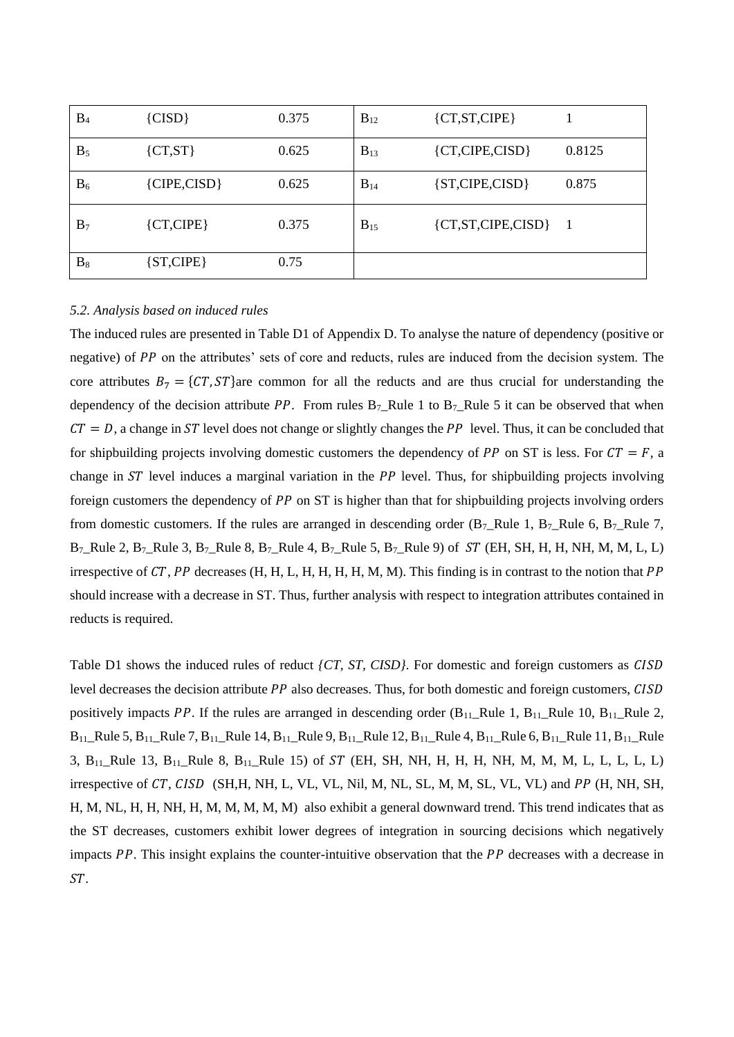| $B_4$          | ${CISD}$       | 0.375 | $B_{12}$ | ${CT, ST, CIPE}$       |        |
|----------------|----------------|-------|----------|------------------------|--------|
| $B_5$          | ${CT,ST}$      | 0.625 | $B_{13}$ | ${CT, CIPE, CISD}$     | 0.8125 |
| $B_6$          | ${CIPE, CISD}$ | 0.625 | $B_{14}$ | ${ST, CIPE, CISD}$     | 0.875  |
| B <sub>7</sub> | ${CT, CIPE}$   | 0.375 | $B_{15}$ | ${CT, ST, CIPE, CISD}$ | - 1    |
| $B_8$          | ${ST, CIPE}$   | 0.75  |          |                        |        |

#### *5.2. Analysis based on induced rules*

The induced rules are presented in Table D1 of Appendix D. To analyse the nature of dependency (positive or negative) of PP on the attributes' sets of core and reducts, rules are induced from the decision system. The core attributes  $B_7 = \{CT, ST\}$ are common for all the reducts and are thus crucial for understanding the dependency of the decision attribute PP. From rules  $B_7$ \_Rule 1 to  $B_7$ \_Rule 5 it can be observed that when  $CT = D$ , a change in ST level does not change or slightly changes the PP level. Thus, it can be concluded that for shipbuilding projects involving domestic customers the dependency of PP on ST is less. For  $CT = F$ , a change in  $ST$  level induces a marginal variation in the  $PP$  level. Thus, for shipbuilding projects involving foreign customers the dependency of  $PP$  on  $ST$  is higher than that for shipbuilding projects involving orders from domestic customers. If the rules are arranged in descending order  $(B_7_Ru$ le 1,  $B_7_Ru$ le 6,  $B_7_Ru$ le 7,  $B_7$ \_Rule 2,  $B_7$ \_Rule 3,  $B_7$ \_Rule 8,  $B_7$ \_Rule 4,  $B_7$ \_Rule 5,  $B_7$ \_Rule 9) of *ST* (EH, SH, H, H, NH, M, M, L, L) irrespective of  $CT$ , PP decreases (H, H, L, H, H, H, H, M, M). This finding is in contrast to the notion that PP should increase with a decrease in ST. Thus, further analysis with respect to integration attributes contained in reducts is required.

Table D1 shows the induced rules of reduct *{CT, ST, CISD}*. For domestic and foreign customers as *CISD* level decreases the decision attribute  $PP$  also decreases. Thus, for both domestic and foreign customers,  $CISD$ positively impacts PP. If the rules are arranged in descending order  $(B_{11}$ ]Rule 1,  $B_{11}$ ]Rule 10,  $B_{11}$ ]Rule 2,  $B_{11}$ \_Rule 5,  $B_{11}$ \_Rule 7,  $B_{11}$ \_Rule 14,  $B_{11}$ \_Rule 9,  $B_{11}$ \_Rule 12,  $B_{11}$ \_Rule 4,  $B_{11}$ \_Rule 6,  $B_{11}$ \_Rule 11,  $B_{11}$ \_Rule 3,  $B_{11}$  Rule 13,  $B_{11}$  Rule 8,  $B_{11}$  Rule 15) of ST (EH, SH, NH, H, H, H, NH, M, M, M, L, L, L, L, L) irrespective of  $CT$ ,  $CISD$  (SH,H, NH, L, VL, VL, Nil, M, NL, SL, M, M, SL, VL, VL) and  $PP$  (H, NH, SH, H, M, NL, H, H, NH, H, M, M, M, M, M) also exhibit a general downward trend. This trend indicates that as the ST decreases, customers exhibit lower degrees of integration in sourcing decisions which negatively impacts  $PP$ . This insight explains the counter-intuitive observation that the  $PP$  decreases with a decrease in ST.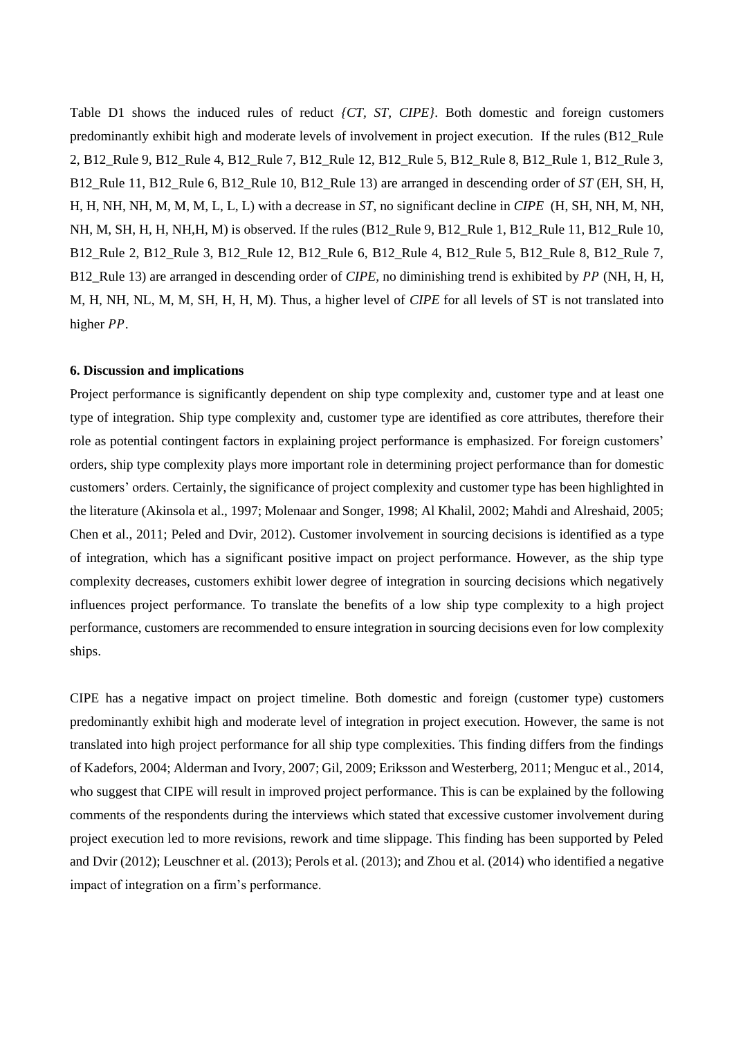Table D1 shows the induced rules of reduct *{CT, ST, CIPE}*. Both domestic and foreign customers predominantly exhibit high and moderate levels of involvement in project execution. If the rules (B12\_Rule 2, B12\_Rule 9, B12\_Rule 4, B12\_Rule 7, B12\_Rule 12, B12\_Rule 5, B12\_Rule 8, B12\_Rule 1, B12\_Rule 3, B12\_Rule 11, B12\_Rule 6, B12\_Rule 10, B12\_Rule 13) are arranged in descending order of *ST* (EH, SH, H, H, H, NH, NH, M, M, M, L, L, L) with a decrease in *ST*, no significant decline in *CIPE* (H, SH, NH, M, NH, NH, M, SH, H, H, NH,H, M) is observed. If the rules (B12\_Rule 9, B12\_Rule 1, B12\_Rule 11, B12\_Rule 10, B12\_Rule 2, B12\_Rule 3, B12\_Rule 12, B12\_Rule 6, B12\_Rule 4, B12\_Rule 5, B12\_Rule 8, B12\_Rule 7, B12 Rule 13) are arranged in descending order of *CIPE*, no diminishing trend is exhibited by PP (NH, H, H, M, H, NH, NL, M, M, SH, H, H, M). Thus, a higher level of *CIPE* for all levels of ST is not translated into higher *PP*.

#### **6. Discussion and implications**

Project performance is significantly dependent on ship type complexity and, customer type and at least one type of integration. Ship type complexity and, customer type are identified as core attributes, therefore their role as potential contingent factors in explaining project performance is emphasized. For foreign customers' orders, ship type complexity plays more important role in determining project performance than for domestic customers' orders. Certainly, the significance of project complexity and customer type has been highlighted in the literature (Akinsola et al., 1997; Molenaar and Songer, 1998; Al Khalil, 2002; Mahdi and Alreshaid, 2005; Chen et al., 2011; Peled and Dvir, 2012). Customer involvement in sourcing decisions is identified as a type of integration, which has a significant positive impact on project performance. However, as the ship type complexity decreases, customers exhibit lower degree of integration in sourcing decisions which negatively influences project performance. To translate the benefits of a low ship type complexity to a high project performance, customers are recommended to ensure integration in sourcing decisions even for low complexity ships.

CIPE has a negative impact on project timeline. Both domestic and foreign (customer type) customers predominantly exhibit high and moderate level of integration in project execution. However, the same is not translated into high project performance for all ship type complexities. This finding differs from the findings of Kadefors, 2004; Alderman and Ivory, 2007; Gil, 2009; Eriksson and Westerberg, 2011; Menguc et al., 2014, who suggest that CIPE will result in improved project performance. This is can be explained by the following comments of the respondents during the interviews which stated that excessive customer involvement during project execution led to more revisions, rework and time slippage. This finding has been supported by Peled and Dvir (2012); Leuschner et al. (2013); Perols et al. (2013); and Zhou et al. (2014) who identified a negative impact of integration on a firm's performance.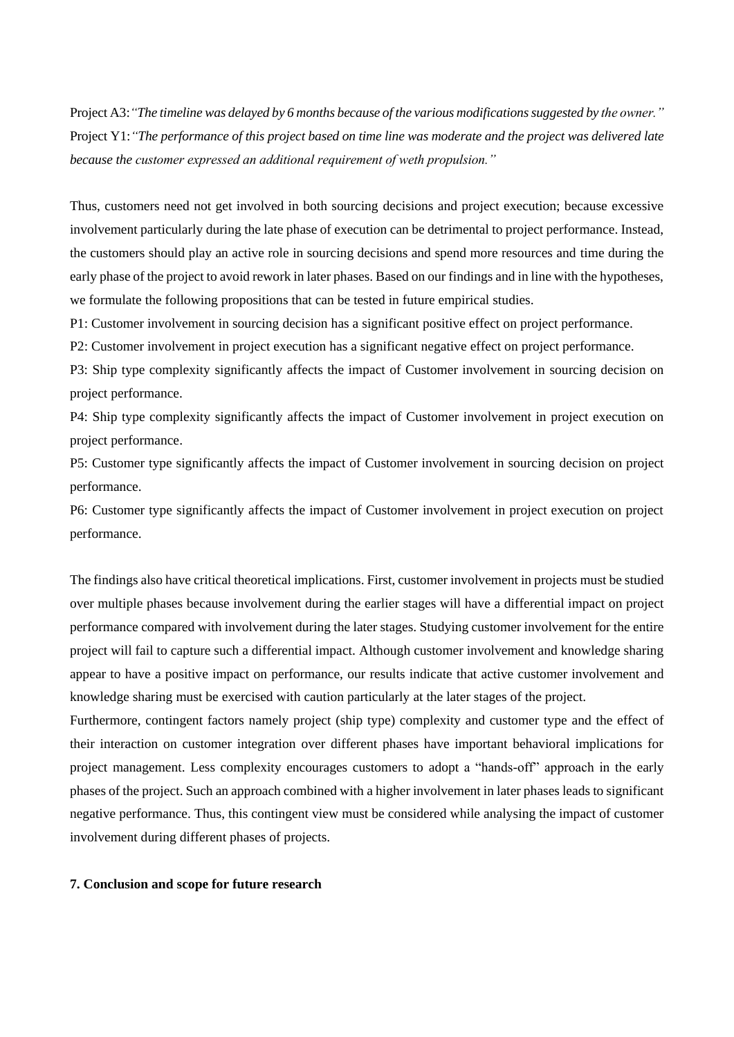Project A3:*"The timeline was delayed by 6 months because of the various modifications suggested by the owner."* Project Y1:*"The performance of this project based on time line was moderate and the project was delivered late because the customer expressed an additional requirement of weth propulsion."*

Thus, customers need not get involved in both sourcing decisions and project execution; because excessive involvement particularly during the late phase of execution can be detrimental to project performance. Instead, the customers should play an active role in sourcing decisions and spend more resources and time during the early phase of the project to avoid rework in later phases. Based on our findings and in line with the hypotheses, we formulate the following propositions that can be tested in future empirical studies.

P1: Customer involvement in sourcing decision has a significant positive effect on project performance.

P2: Customer involvement in project execution has a significant negative effect on project performance.

P3: Ship type complexity significantly affects the impact of Customer involvement in sourcing decision on project performance.

P4: Ship type complexity significantly affects the impact of Customer involvement in project execution on project performance.

P5: Customer type significantly affects the impact of Customer involvement in sourcing decision on project performance.

P6: Customer type significantly affects the impact of Customer involvement in project execution on project performance.

The findings also have critical theoretical implications. First, customer involvement in projects must be studied over multiple phases because involvement during the earlier stages will have a differential impact on project performance compared with involvement during the later stages. Studying customer involvement for the entire project will fail to capture such a differential impact. Although customer involvement and knowledge sharing appear to have a positive impact on performance, our results indicate that active customer involvement and knowledge sharing must be exercised with caution particularly at the later stages of the project.

Furthermore, contingent factors namely project (ship type) complexity and customer type and the effect of their interaction on customer integration over different phases have important behavioral implications for project management. Less complexity encourages customers to adopt a "hands-off" approach in the early phases of the project. Such an approach combined with a higher involvement in later phases leads to significant negative performance. Thus, this contingent view must be considered while analysing the impact of customer involvement during different phases of projects.

#### **7. Conclusion and scope for future research**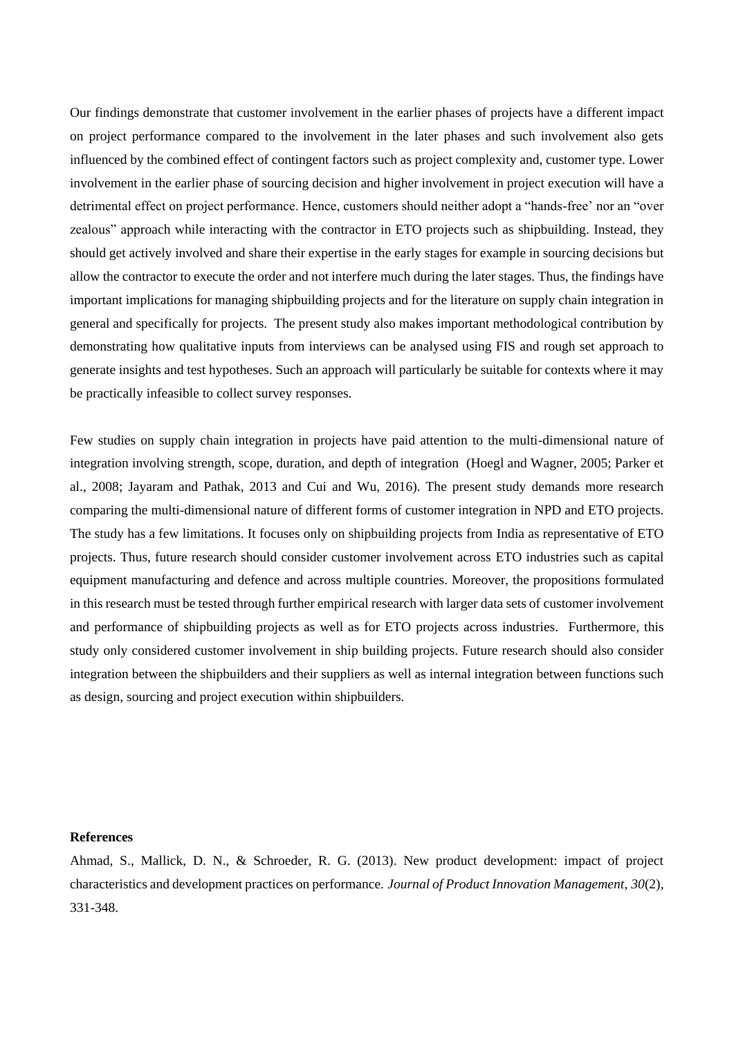Our findings demonstrate that customer involvement in the earlier phases of projects have a different impact on project performance compared to the involvement in the later phases and such involvement also gets influenced by the combined effect of contingent factors such as project complexity and, customer type. Lower involvement in the earlier phase of sourcing decision and higher involvement in project execution will have a detrimental effect on project performance. Hence, customers should neither adopt a "hands-free' nor an "over zealous" approach while interacting with the contractor in ETO projects such as shipbuilding. Instead, they should get actively involved and share their expertise in the early stages for example in sourcing decisions but allow the contractor to execute the order and not interfere much during the later stages. Thus, the findings have important implications for managing shipbuilding projects and for the literature on supply chain integration in general and specifically for projects. The present study also makes important methodological contribution by demonstrating how qualitative inputs from interviews can be analysed using FIS and rough set approach to generate insights and test hypotheses. Such an approach will particularly be suitable for contexts where it may be practically infeasible to collect survey responses.

Few studies on supply chain integration in projects have paid attention to the multi-dimensional nature of integration involving strength, scope, duration, and depth of integration (Hoegl and Wagner, 2005; Parker et al., 2008; Jayaram and Pathak, 2013 and Cui and Wu, 2016). The present study demands more research comparing the multi-dimensional nature of different forms of customer integration in NPD and ETO projects. The study has a few limitations. It focuses only on shipbuilding projects from India as representative of ETO projects. Thus, future research should consider customer involvement across ETO industries such as capital equipment manufacturing and defence and across multiple countries. Moreover, the propositions formulated in this research must be tested through further empirical research with larger data sets of customer involvement and performance of shipbuilding projects as well as for ETO projects across industries. Furthermore, this study only considered customer involvement in ship building projects. Future research should also consider integration between the shipbuilders and their suppliers as well as internal integration between functions such as design, sourcing and project execution within shipbuilders.

#### **References**

Ahmad, S., Mallick, D. N., & Schroeder, R. G. (2013). New product development: impact of project characteristics and development practices on performance. *Journal of Product Innovation Management*, *30*(2), 331-348.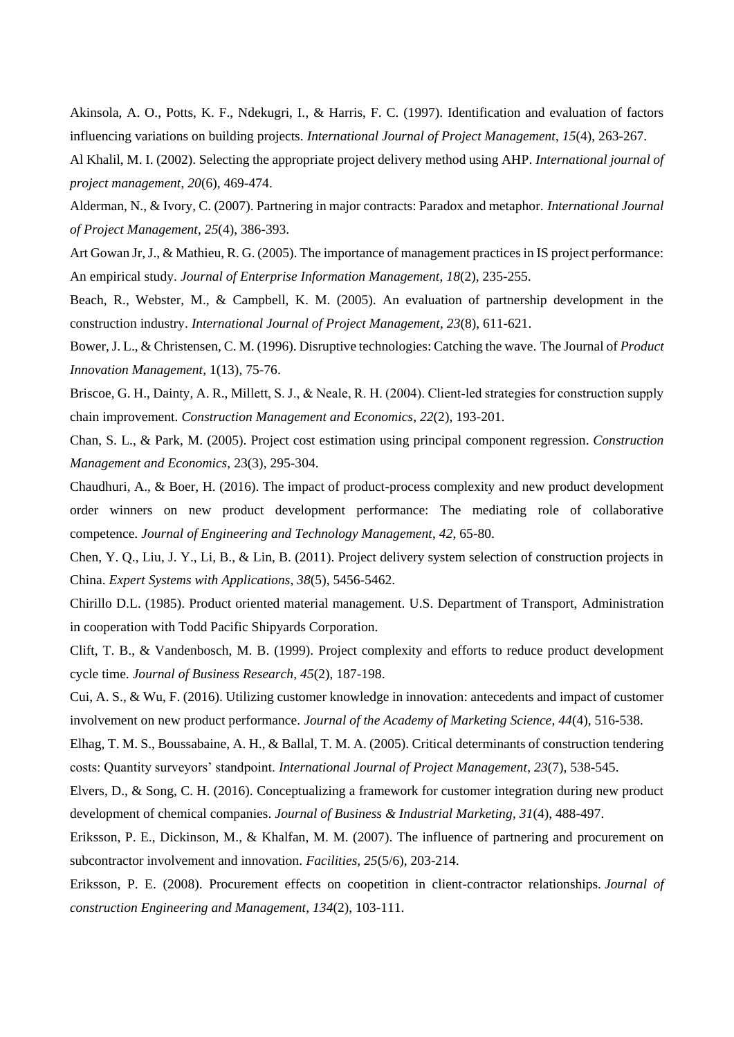Akinsola, A. O., Potts, K. F., Ndekugri, I., & Harris, F. C. (1997). Identification and evaluation of factors influencing variations on building projects. *International Journal of Project Management*, *15*(4), 263-267.

Al Khalil, M. I. (2002). Selecting the appropriate project delivery method using AHP. *International journal of project management*, *20*(6), 469-474.

Alderman, N., & Ivory, C. (2007). Partnering in major contracts: Paradox and metaphor. *International Journal of Project Management*, *25*(4), 386-393.

Art Gowan Jr, J., & Mathieu, R. G. (2005). The importance of management practices in IS project performance: An empirical study. *Journal of Enterprise Information Management*, *18*(2), 235-255.

Beach, R., Webster, M., & Campbell, K. M. (2005). An evaluation of partnership development in the construction industry. *International Journal of Project Management*, *23*(8), 611-621.

Bower, J. L., & Christensen, C. M. (1996). Disruptive technologies: Catching the wave. The Journal of *Product Innovation Management*, 1(13), 75-76.

Briscoe, G. H., Dainty, A. R., Millett, S. J., & Neale, R. H. (2004). Client-led strategies for construction supply chain improvement. *Construction Management and Economics*, *22*(2), 193-201.

Chan, S. L., & Park, M. (2005). Project cost estimation using principal component regression. *Construction Management and Economics*, 23(3), 295-304.

Chaudhuri, A., & Boer, H. (2016). The impact of product-process complexity and new product development order winners on new product development performance: The mediating role of collaborative competence. *Journal of Engineering and Technology Management*, *42*, 65-80.

Chen, Y. Q., Liu, J. Y., Li, B., & Lin, B. (2011). Project delivery system selection of construction projects in China. *Expert Systems with Applications*, *38*(5), 5456-5462.

Chirillo D.L. (1985). Product oriented material management. U.S. Department of Transport, Administration in cooperation with Todd Pacific Shipyards Corporation.

Clift, T. B., & Vandenbosch, M. B. (1999). Project complexity and efforts to reduce product development cycle time. *Journal of Business Research*, *45*(2), 187-198.

Cui, A. S., & Wu, F. (2016). Utilizing customer knowledge in innovation: antecedents and impact of customer involvement on new product performance. *Journal of the Academy of Marketing Science*, *44*(4), 516-538.

Elhag, T. M. S., Boussabaine, A. H., & Ballal, T. M. A. (2005). Critical determinants of construction tendering costs: Quantity surveyors' standpoint. *International Journal of Project Management*, *23*(7), 538-545.

Elvers, D., & Song, C. H. (2016). Conceptualizing a framework for customer integration during new product development of chemical companies. *Journal of Business & Industrial Marketing*, *31*(4), 488-497.

Eriksson, P. E., Dickinson, M., & Khalfan, M. M. (2007). The influence of partnering and procurement on subcontractor involvement and innovation. *Facilities*, *25*(5/6), 203-214.

Eriksson, P. E. (2008). Procurement effects on coopetition in client-contractor relationships. *Journal of construction Engineering and Management*, *134*(2), 103-111.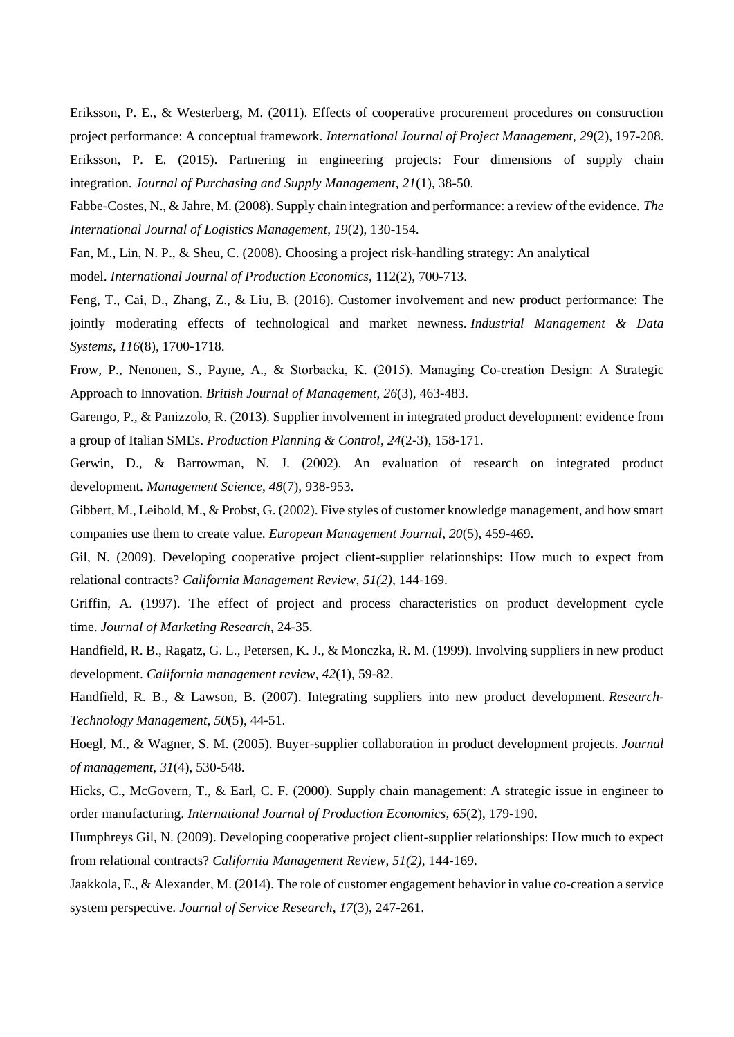Eriksson, P. E., & Westerberg, M. (2011). Effects of cooperative procurement procedures on construction project performance: A conceptual framework. *International Journal of Project Management*, *29*(2), 197-208. Eriksson, P. E. (2015). Partnering in engineering projects: Four dimensions of supply chain integration. *Journal of Purchasing and Supply Management*, *21*(1), 38-50.

Fabbe-Costes, N., & Jahre, M. (2008). Supply chain integration and performance: a review of the evidence. *The International Journal of Logistics Management*, *19*(2), 130-154.

Fan, M., Lin, N. P., & Sheu, C. (2008). Choosing a project risk-handling strategy: An analytical model. *International Journal of Production Economics*, 112(2), 700-713.

Feng, T., Cai, D., Zhang, Z., & Liu, B. (2016). Customer involvement and new product performance: The jointly moderating effects of technological and market newness. *Industrial Management & Data Systems*, *116*(8), 1700-1718.

Frow, P., Nenonen, S., Payne, A., & Storbacka, K. (2015). Managing Co-creation Design: A Strategic Approach to Innovation. *British Journal of Management*, *26*(3), 463-483.

Garengo, P., & Panizzolo, R. (2013). Supplier involvement in integrated product development: evidence from a group of Italian SMEs. *Production Planning & Control*, *24*(2-3), 158-171.

Gerwin, D., & Barrowman, N. J. (2002). An evaluation of research on integrated product development. *Management Science*, *48*(7), 938-953.

Gibbert, M., Leibold, M., & Probst, G. (2002). Five styles of customer knowledge management, and how smart companies use them to create value. *European Management Journal*, *20*(5), 459-469.

Gil, N. (2009). Developing cooperative project client-supplier relationships: How much to expect from relational contracts? *California Management Review*, *51(2)*, 144-169.

Griffin, A. (1997). The effect of project and process characteristics on product development cycle time. *Journal of Marketing Research*, 24-35.

Handfield, R. B., Ragatz, G. L., Petersen, K. J., & Monczka, R. M. (1999). Involving suppliers in new product development. *California management review*, *42*(1), 59-82.

Handfield, R. B., & Lawson, B. (2007). Integrating suppliers into new product development. *Research-Technology Management*, *50*(5), 44-51.

Hoegl, M., & Wagner, S. M. (2005). Buyer-supplier collaboration in product development projects. *Journal of management*, *31*(4), 530-548.

Hicks, C., McGovern, T., & Earl, C. F. (2000). Supply chain management: A strategic issue in engineer to order manufacturing. *International Journal of Production Economics*, *65*(2), 179-190.

Humphreys Gil, N. (2009). Developing cooperative project client-supplier relationships: How much to expect from relational contracts? *California Management Review*, *51(2)*, 144-169.

Jaakkola, E., & Alexander, M. (2014). The role of customer engagement behavior in value co-creation a service system perspective. *Journal of Service Research*, *17*(3), 247-261.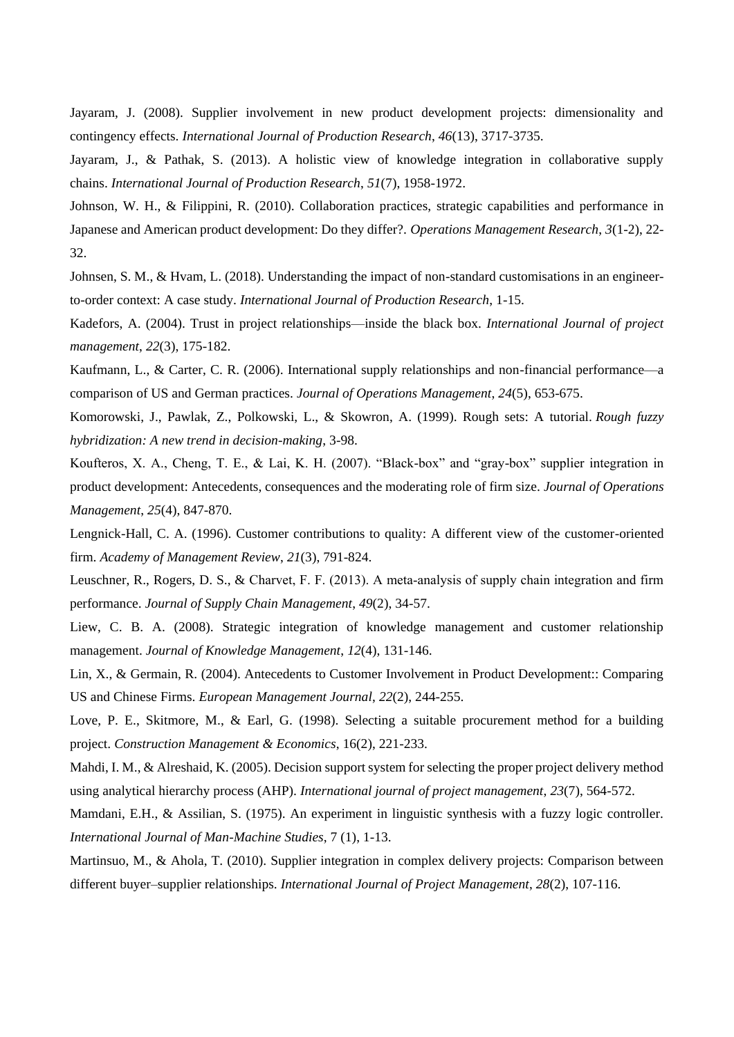Jayaram, J. (2008). Supplier involvement in new product development projects: dimensionality and contingency effects. *International Journal of Production Research*, *46*(13), 3717-3735.

Jayaram, J., & Pathak, S. (2013). A holistic view of knowledge integration in collaborative supply chains. *International Journal of Production Research*, *51*(7), 1958-1972.

Johnson, W. H., & Filippini, R. (2010). Collaboration practices, strategic capabilities and performance in Japanese and American product development: Do they differ?. *Operations Management Research*, *3*(1-2), 22- 32.

Johnsen, S. M., & Hvam, L. (2018). Understanding the impact of non-standard customisations in an engineerto-order context: A case study. *International Journal of Production Research*, 1-15.

Kadefors, A. (2004). Trust in project relationships—inside the black box. *International Journal of project management*, *22*(3), 175-182.

Kaufmann, L., & Carter, C. R. (2006). International supply relationships and non-financial performance—a comparison of US and German practices. *Journal of Operations Management*, *24*(5), 653-675.

Komorowski, J., Pawlak, Z., Polkowski, L., & Skowron, A. (1999). Rough sets: A tutorial. *Rough fuzzy hybridization: A new trend in decision-making*, 3-98.

Koufteros, X. A., Cheng, T. E., & Lai, K. H. (2007). "Black-box" and "gray-box" supplier integration in product development: Antecedents, consequences and the moderating role of firm size. *Journal of Operations Management*, *25*(4), 847-870.

Lengnick-Hall, C. A. (1996). Customer contributions to quality: A different view of the customer-oriented firm. *Academy of Management Review*, *21*(3), 791-824.

Leuschner, R., Rogers, D. S., & Charvet, F. F. (2013). A meta-analysis of supply chain integration and firm performance. *Journal of Supply Chain Management*, *49*(2), 34-57.

Liew, C. B. A. (2008). Strategic integration of knowledge management and customer relationship management. *Journal of Knowledge Management*, *12*(4), 131-146.

Lin, X., & Germain, R. (2004). Antecedents to Customer Involvement in Product Development:: Comparing US and Chinese Firms. *European Management Journal*, *22*(2), 244-255.

Love, P. E., Skitmore, M., & Earl, G. (1998). Selecting a suitable procurement method for a building project. *Construction Management & Economics*, 16(2), 221-233.

Mahdi, I. M., & Alreshaid, K. (2005). Decision support system for selecting the proper project delivery method using analytical hierarchy process (AHP). *International journal of project management*, *23*(7), 564-572.

Mamdani, E.H., & Assilian, S. (1975). An experiment in linguistic synthesis with a fuzzy logic controller. *International Journal of Man-Machine Studies*, 7 (1), 1-13.

Martinsuo, M., & Ahola, T. (2010). Supplier integration in complex delivery projects: Comparison between different buyer–supplier relationships. *International Journal of Project Management*, *28*(2), 107-116.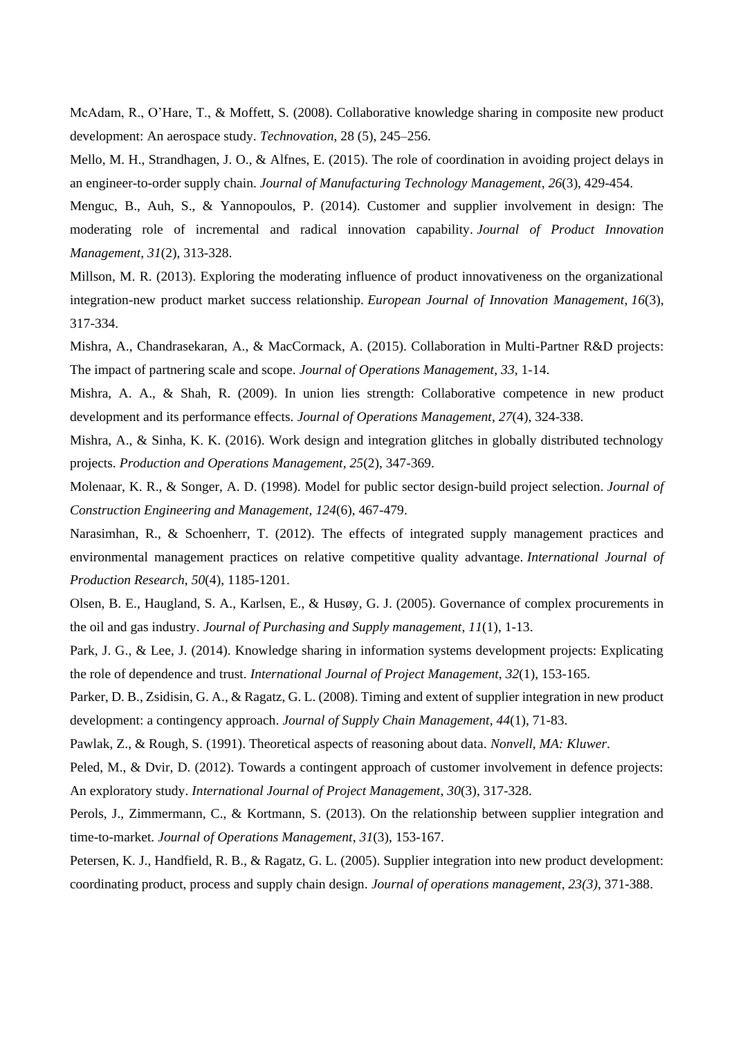McAdam, R., O'Hare, T., & Moffett, S. (2008). Collaborative knowledge sharing in composite new product development: An aerospace study. *Technovation*, 28 (5), 245–256.

Mello, M. H., Strandhagen, J. O., & Alfnes, E. (2015). The role of coordination in avoiding project delays in an engineer-to-order supply chain. *Journal of Manufacturing Technology Management*, *26*(3), 429-454.

Menguc, B., Auh, S., & Yannopoulos, P. (2014). Customer and supplier involvement in design: The moderating role of incremental and radical innovation capability. *Journal of Product Innovation Management*, *31*(2), 313-328.

Millson, M. R. (2013). Exploring the moderating influence of product innovativeness on the organizational integration-new product market success relationship. *European Journal of Innovation Management*, *16*(3), 317-334.

Mishra, A., Chandrasekaran, A., & MacCormack, A. (2015). Collaboration in Multi-Partner R&D projects: The impact of partnering scale and scope. *Journal of Operations Management*, *33*, 1-14.

Mishra, A. A., & Shah, R. (2009). In union lies strength: Collaborative competence in new product development and its performance effects. *Journal of Operations Management*, *27*(4), 324-338.

Mishra, A., & Sinha, K. K. (2016). Work design and integration glitches in globally distributed technology projects. *Production and Operations Management*, *25*(2), 347-369.

Molenaar, K. R., & Songer, A. D. (1998). Model for public sector design-build project selection. *Journal of Construction Engineering and Management*, *124*(6), 467-479.

Narasimhan, R., & Schoenherr, T. (2012). The effects of integrated supply management practices and environmental management practices on relative competitive quality advantage. *International Journal of Production Research*, *50*(4), 1185-1201.

Olsen, B. E., Haugland, S. A., Karlsen, E., & Husøy, G. J. (2005). Governance of complex procurements in the oil and gas industry. *Journal of Purchasing and Supply management*, *11*(1), 1-13.

Park, J. G., & Lee, J. (2014). Knowledge sharing in information systems development projects: Explicating the role of dependence and trust. *International Journal of Project Management*, *32*(1), 153-165.

Parker, D. B., Zsidisin, G. A., & Ragatz, G. L. (2008). Timing and extent of supplier integration in new product development: a contingency approach. *Journal of Supply Chain Management*, *44*(1), 71-83.

Pawlak, Z., & Rough, S. (1991). Theoretical aspects of reasoning about data. *Nonvell, MA: Kluwer*.

Peled, M., & Dvir, D. (2012). Towards a contingent approach of customer involvement in defence projects: An exploratory study. *International Journal of Project Management*, *30*(3), 317-328.

Perols, J., Zimmermann, C., & Kortmann, S. (2013). On the relationship between supplier integration and time-to-market. *Journal of Operations Management*, *31*(3), 153-167.

Petersen, K. J., Handfield, R. B., & Ragatz, G. L. (2005). Supplier integration into new product development: coordinating product, process and supply chain design. *Journal of operations management*, *23(3)*, 371-388.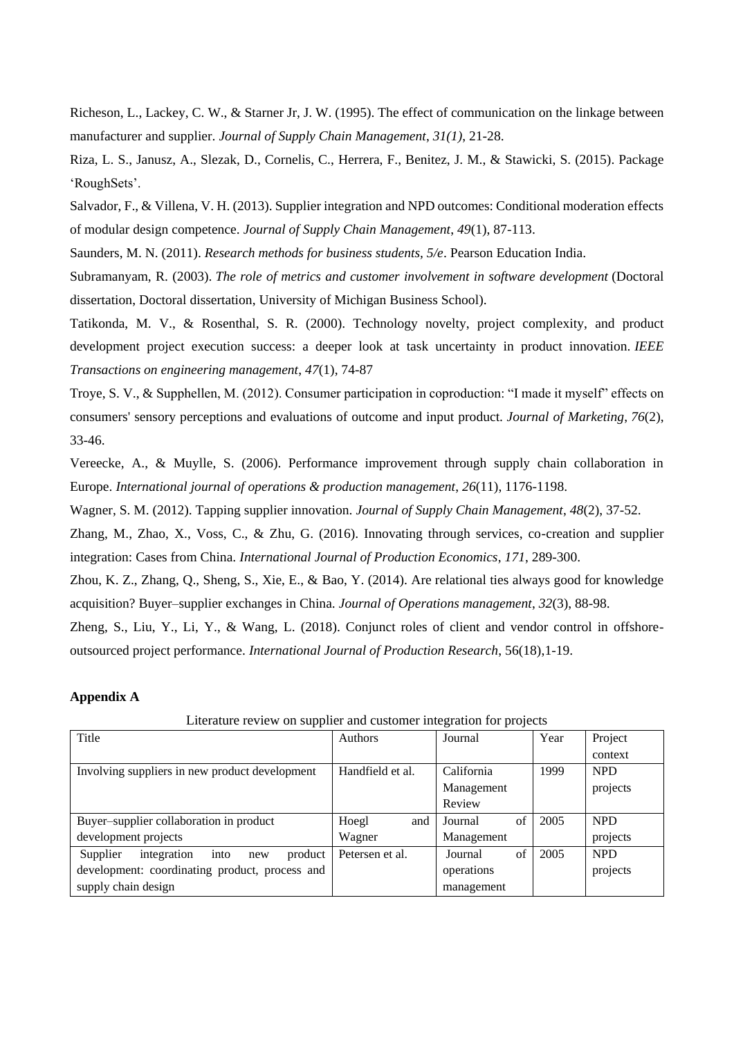Richeson, L., Lackey, C. W., & Starner Jr, J. W. (1995). The effect of communication on the linkage between manufacturer and supplier. *Journal of Supply Chain Management*, *31(1)*, 21-28.

Riza, L. S., Janusz, A., Slezak, D., Cornelis, C., Herrera, F., Benitez, J. M., & Stawicki, S. (2015). Package 'RoughSets'.

Salvador, F., & Villena, V. H. (2013). Supplier integration and NPD outcomes: Conditional moderation effects of modular design competence. *Journal of Supply Chain Management*, *49*(1), 87-113.

Saunders, M. N. (2011). *Research methods for business students, 5/e*. Pearson Education India.

Subramanyam, R. (2003). *The role of metrics and customer involvement in software development* (Doctoral dissertation, Doctoral dissertation, University of Michigan Business School).

Tatikonda, M. V., & Rosenthal, S. R. (2000). Technology novelty, project complexity, and product development project execution success: a deeper look at task uncertainty in product innovation. *IEEE Transactions on engineering management*, *47*(1), 74-87

Troye, S. V., & Supphellen, M. (2012). Consumer participation in coproduction: "I made it myself" effects on consumers' sensory perceptions and evaluations of outcome and input product. *Journal of Marketing*, *76*(2), 33-46.

Vereecke, A., & Muylle, S. (2006). Performance improvement through supply chain collaboration in Europe. *International journal of operations & production management*, *26*(11), 1176-1198.

Wagner, S. M. (2012). Tapping supplier innovation. *Journal of Supply Chain Management*, *48*(2), 37-52.

Zhang, M., Zhao, X., Voss, C., & Zhu, G. (2016). Innovating through services, co-creation and supplier integration: Cases from China. *International Journal of Production Economics*, *171*, 289-300.

Zhou, K. Z., Zhang, Q., Sheng, S., Xie, E., & Bao, Y. (2014). Are relational ties always good for knowledge acquisition? Buyer–supplier exchanges in China. *Journal of Operations management*, *32*(3), 88-98.

Zheng, S., Liu, Y., Li, Y., & Wang, L. (2018). Conjunct roles of client and vendor control in offshoreoutsourced project performance. *International Journal of Production Research*, 56(18),1-19.

#### **Appendix A**

| Title                                             | Authors          | Journal       | Year | Project    |
|---------------------------------------------------|------------------|---------------|------|------------|
|                                                   |                  |               |      | context    |
| Involving suppliers in new product development    | Handfield et al. | California    | 1999 | <b>NPD</b> |
|                                                   |                  | Management    |      | projects   |
|                                                   |                  | Review        |      |            |
| Buyer-supplier collaboration in product           | Hoegl<br>and     | of<br>Journal | 2005 | <b>NPD</b> |
| development projects                              | Wagner           | Management    |      | projects   |
| into<br>Supplier<br>product<br>integration<br>new | Petersen et al.  | of<br>Journal | 2005 | <b>NPD</b> |
| development: coordinating product, process and    |                  | operations    |      | projects   |
| supply chain design                               |                  | management    |      |            |

Literature review on supplier and customer integration for projects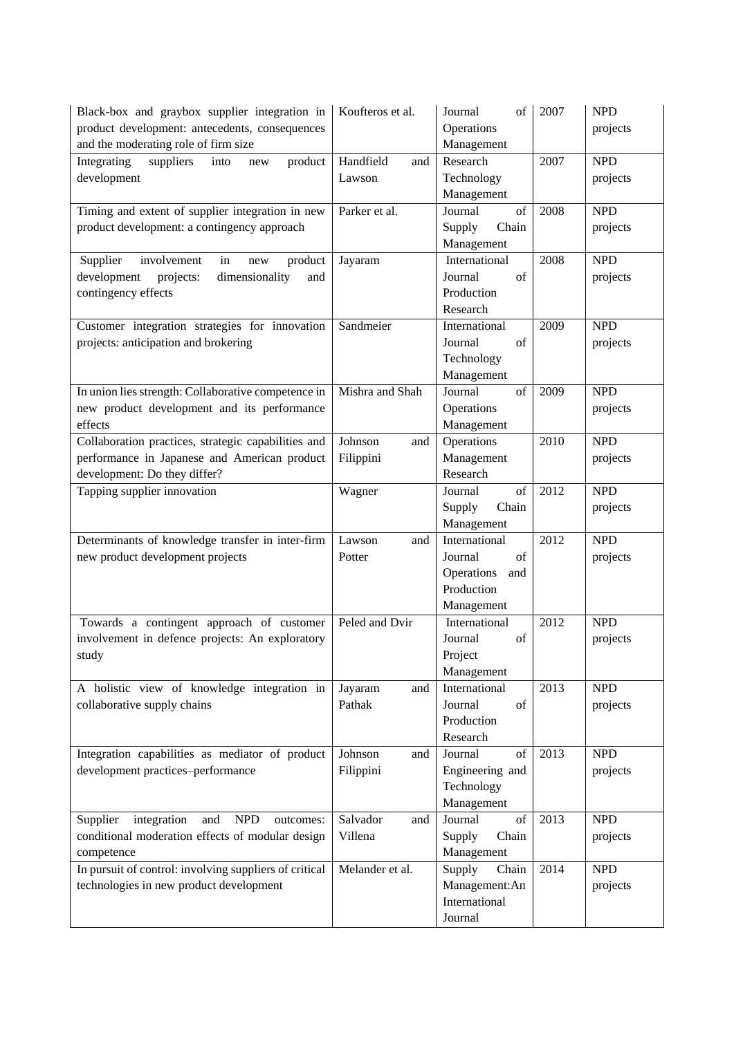| Black-box and graybox supplier integration in              | Koufteros et al.            | Journal<br>of               | 2007 | <b>NPD</b> |
|------------------------------------------------------------|-----------------------------|-----------------------------|------|------------|
| product development: antecedents, consequences             |                             | Operations                  |      | projects   |
| and the moderating role of firm size                       |                             | Management                  |      |            |
| Integrating<br>suppliers<br>product<br>into<br>new         | Handfield<br>and            | Research                    | 2007 | <b>NPD</b> |
| development                                                | Lawson                      | Technology                  |      | projects   |
|                                                            |                             | Management                  |      |            |
| Timing and extent of supplier integration in new           | Parker et al.               | Journal<br>of               | 2008 | <b>NPD</b> |
| product development: a contingency approach                |                             | Supply<br>Chain             |      | projects   |
|                                                            |                             | Management                  |      |            |
| Supplier<br>involvement<br>in<br>product<br>new            | Jayaram                     | International               | 2008 | <b>NPD</b> |
| dimensionality<br>development<br>projects:<br>and          |                             | Journal<br>of               |      | projects   |
| contingency effects                                        |                             | Production                  |      |            |
|                                                            |                             | Research                    |      |            |
| Customer integration strategies for innovation             | Sandmeier                   | International               | 2009 | <b>NPD</b> |
| projects: anticipation and brokering                       |                             | Journal<br>of               |      | projects   |
|                                                            |                             | Technology                  |      |            |
|                                                            |                             | Management                  |      |            |
| In union lies strength: Collaborative competence in        | Mishra and Shah             | Journal<br>of               | 2009 | <b>NPD</b> |
| new product development and its performance                |                             | Operations                  |      | projects   |
| effects                                                    |                             | Management                  |      |            |
| Collaboration practices, strategic capabilities and        | Johnson<br>and              | Operations                  | 2010 | <b>NPD</b> |
| performance in Japanese and American product               | Filippini                   | Management                  |      | projects   |
| development: Do they differ?                               |                             | Research                    |      |            |
| Tapping supplier innovation                                | Wagner                      | of<br>Journal               | 2012 | <b>NPD</b> |
|                                                            |                             | Chain<br>Supply             |      | projects   |
|                                                            |                             | Management                  |      |            |
| Determinants of knowledge transfer in inter-firm           | Lawson<br>and               | International               | 2012 | <b>NPD</b> |
| new product development projects                           | Potter                      | Journal<br>of               |      | projects   |
|                                                            |                             | Operations<br>and           |      |            |
|                                                            |                             | Production                  |      |            |
|                                                            |                             | Management                  |      |            |
| Towards a contingent approach of customer                  | Peled and Dvir              | International               | 2012 | <b>NPD</b> |
| involvement in defence projects: An exploratory            |                             | Journal<br>of               |      | projects   |
| study                                                      |                             | Project                     |      |            |
|                                                            |                             | Management                  |      |            |
| A holistic view of knowledge integration in                | Jayaram<br>and              | International               | 2013 | <b>NPD</b> |
| collaborative supply chains                                | Pathak                      | Journal<br>of               |      | projects   |
|                                                            |                             | Production<br>Research      |      |            |
|                                                            |                             | Journal                     | 2013 | <b>NPD</b> |
| Integration capabilities as mediator of product            | Johnson<br>and<br>Filippini | of<br>Engineering and       |      |            |
| development practices-performance                          |                             | Technology                  |      | projects   |
|                                                            |                             |                             |      |            |
| ${\sf NPD}$<br>Supplier<br>integration<br>and<br>outcomes: | Salvador<br>and             | Management<br>Journal<br>of | 2013 | <b>NPD</b> |
| conditional moderation effects of modular design           | Villena                     | Chain<br>Supply             |      | projects   |
| competence                                                 |                             | Management                  |      |            |
| In pursuit of control: involving suppliers of critical     | Melander et al.             | Supply<br>Chain             | 2014 | <b>NPD</b> |
| technologies in new product development                    |                             | Management:An               |      | projects   |
|                                                            |                             | International               |      |            |
|                                                            |                             | Journal                     |      |            |
|                                                            |                             |                             |      |            |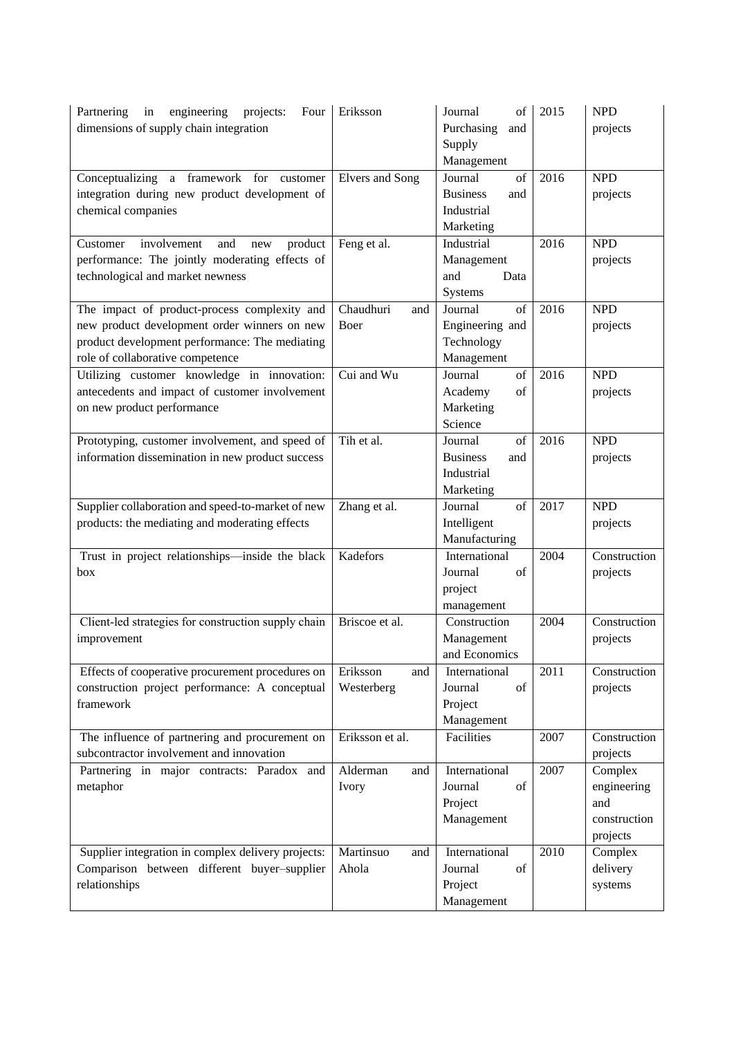| Partnering<br>engineering<br>projects:<br>in<br>Four<br>dimensions of supply chain integration                                                                                     | Eriksson                      | Journal<br>of<br>Purchasing<br>and<br>Supply<br>Management         | 2015 | <b>NPD</b><br>projects                                    |
|------------------------------------------------------------------------------------------------------------------------------------------------------------------------------------|-------------------------------|--------------------------------------------------------------------|------|-----------------------------------------------------------|
| Conceptualizing a framework for customer<br>integration during new product development of<br>chemical companies                                                                    | <b>Elvers</b> and Song        | of<br>Journal<br><b>Business</b><br>and<br>Industrial<br>Marketing | 2016 | <b>NPD</b><br>projects                                    |
| involvement<br>Customer<br>product<br>and<br>new<br>performance: The jointly moderating effects of<br>technological and market newness                                             | Feng et al.                   | Industrial<br>Management<br>and<br>Data<br>Systems                 | 2016 | <b>NPD</b><br>projects                                    |
| The impact of product-process complexity and<br>new product development order winners on new<br>product development performance: The mediating<br>role of collaborative competence | Chaudhuri<br>and<br>Boer      | Journal<br>of<br>Engineering and<br>Technology<br>Management       | 2016 | <b>NPD</b><br>projects                                    |
| Utilizing customer knowledge in innovation:<br>antecedents and impact of customer involvement<br>on new product performance                                                        | Cui and Wu                    | of<br>Journal<br>of<br>Academy<br>Marketing<br>Science             | 2016 | <b>NPD</b><br>projects                                    |
| Prototyping, customer involvement, and speed of<br>information dissemination in new product success                                                                                | Tih et al.                    | Journal<br>of<br><b>Business</b><br>and<br>Industrial<br>Marketing | 2016 | <b>NPD</b><br>projects                                    |
| Supplier collaboration and speed-to-market of new<br>products: the mediating and moderating effects                                                                                | Zhang et al.                  | of<br>Journal<br>Intelligent<br>Manufacturing                      | 2017 | <b>NPD</b><br>projects                                    |
| Trust in project relationships-inside the black<br>box                                                                                                                             | Kadefors                      | International<br>Journal<br>of<br>project<br>management            | 2004 | Construction<br>projects                                  |
| Client-led strategies for construction supply chain<br>improvement                                                                                                                 | Briscoe et al.                | Construction<br>Management<br>and Economics                        | 2004 | Construction<br>projects                                  |
| Effects of cooperative procurement procedures on<br>construction project performance: A conceptual<br>framework                                                                    | Eriksson<br>and<br>Westerberg | International<br>of<br>Journal<br>Project<br>Management            | 2011 | Construction<br>projects                                  |
| The influence of partnering and procurement on<br>subcontractor involvement and innovation                                                                                         | Eriksson et al.               | Facilities                                                         | 2007 | Construction<br>projects                                  |
| Partnering in major contracts: Paradox and<br>metaphor                                                                                                                             | Alderman<br>and<br>Ivory      | International<br>Journal<br>of<br>Project<br>Management            | 2007 | Complex<br>engineering<br>and<br>construction<br>projects |
| Supplier integration in complex delivery projects:<br>Comparison between different buyer-supplier<br>relationships                                                                 | Martinsuo<br>and<br>Ahola     | International<br>Journal<br>of<br>Project<br>Management            | 2010 | Complex<br>delivery<br>systems                            |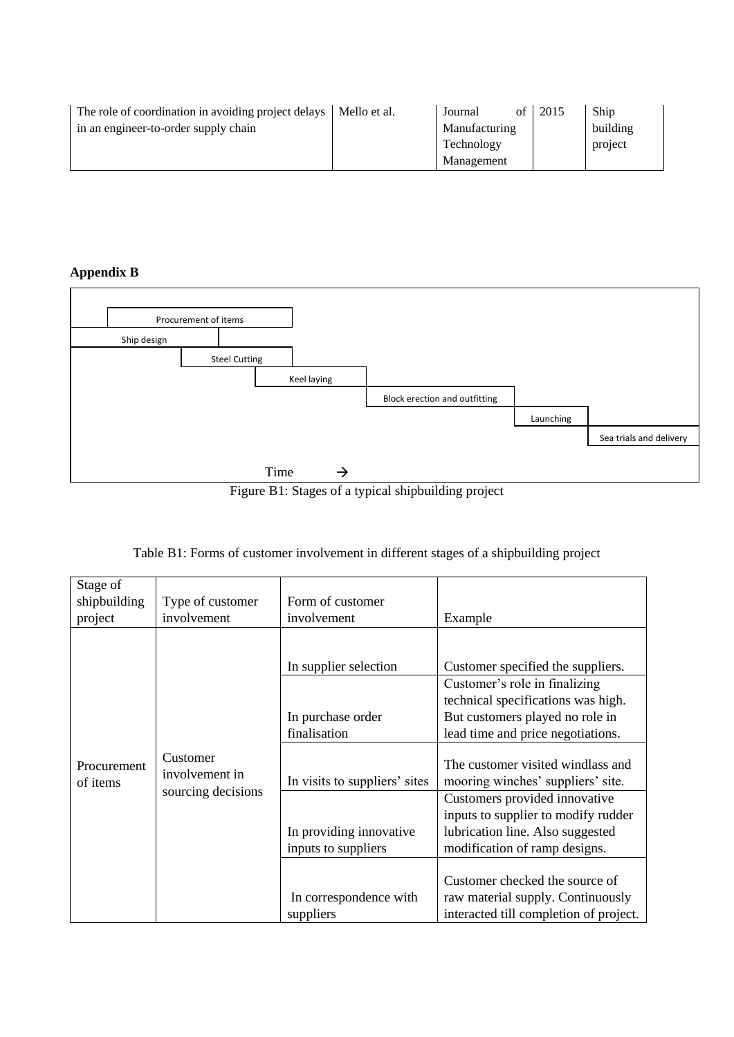| The role of coordination in avoiding project delays   Mello et al. | of<br>Journal | 2015 | Ship     |
|--------------------------------------------------------------------|---------------|------|----------|
| in an engineer-to-order supply chain                               | Manufacturing |      | building |
|                                                                    | Technology    |      | project  |
|                                                                    | Management    |      |          |

**Appendix B**



Figure B1: Stages of a typical shipbuilding project

|  |  | Table B1: Forms of customer involvement in different stages of a shipbuilding project |  |  |  |  |  |  |
|--|--|---------------------------------------------------------------------------------------|--|--|--|--|--|--|
|  |  |                                                                                       |  |  |  |  |  |  |
|  |  |                                                                                       |  |  |  |  |  |  |
|  |  |                                                                                       |  |  |  |  |  |  |

| Stage of<br>shipbuilding<br>project | Type of customer<br>involvement                  | Form of customer<br>involvement                                                                                                               | Example                                                                                                                                                                                                                                                                                                                                                                                                 |
|-------------------------------------|--------------------------------------------------|-----------------------------------------------------------------------------------------------------------------------------------------------|---------------------------------------------------------------------------------------------------------------------------------------------------------------------------------------------------------------------------------------------------------------------------------------------------------------------------------------------------------------------------------------------------------|
| Procurement<br>of items             | Customer<br>involvement in<br>sourcing decisions | In supplier selection<br>In purchase order<br>finalisation<br>In visits to suppliers' sites<br>In providing innovative<br>inputs to suppliers | Customer specified the suppliers.<br>Customer's role in finalizing<br>technical specifications was high.<br>But customers played no role in<br>lead time and price negotiations.<br>The customer visited windlass and<br>mooring winches' suppliers' site.<br>Customers provided innovative<br>inputs to supplier to modify rudder<br>lubrication line. Also suggested<br>modification of ramp designs. |
|                                     |                                                  | In correspondence with<br>suppliers                                                                                                           | Customer checked the source of<br>raw material supply. Continuously<br>interacted till completion of project.                                                                                                                                                                                                                                                                                           |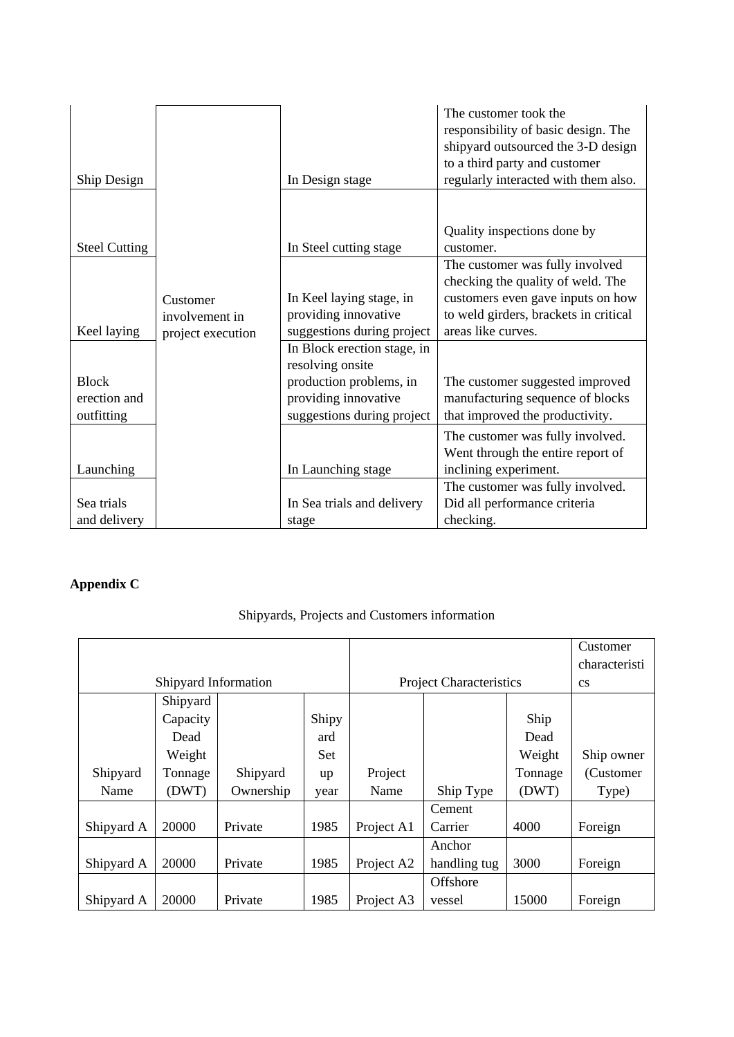| Ship Design                                |                                                 | In Design stage                                                                | The customer took the<br>responsibility of basic design. The<br>shipyard outsourced the 3-D design<br>to a third party and customer<br>regularly interacted with them also. |
|--------------------------------------------|-------------------------------------------------|--------------------------------------------------------------------------------|-----------------------------------------------------------------------------------------------------------------------------------------------------------------------------|
|                                            |                                                 |                                                                                |                                                                                                                                                                             |
| <b>Steel Cutting</b>                       |                                                 | In Steel cutting stage                                                         | Quality inspections done by<br>customer.                                                                                                                                    |
|                                            |                                                 |                                                                                | The customer was fully involved<br>checking the quality of weld. The                                                                                                        |
| Keel laying                                | Customer<br>involvement in<br>project execution | In Keel laying stage, in<br>providing innovative<br>suggestions during project | customers even gave inputs on how<br>to weld girders, brackets in critical<br>areas like curves.                                                                            |
|                                            |                                                 | In Block erection stage, in<br>resolving onsite                                |                                                                                                                                                                             |
| <b>Block</b><br>erection and<br>outfitting |                                                 | production problems, in<br>providing innovative<br>suggestions during project  | The customer suggested improved<br>manufacturing sequence of blocks<br>that improved the productivity.                                                                      |
| Launching                                  |                                                 | In Launching stage                                                             | The customer was fully involved.<br>Went through the entire report of<br>inclining experiment.                                                                              |
| Sea trials<br>and delivery                 |                                                 | In Sea trials and delivery<br>stage                                            | The customer was fully involved.<br>Did all performance criteria<br>checking.                                                                                               |

# **Appendix C**

## Shipyards, Projects and Customers information

|            |                      |           |       |                                |                 |         | Customer               |
|------------|----------------------|-----------|-------|--------------------------------|-----------------|---------|------------------------|
|            |                      |           |       |                                |                 |         | characteristi          |
|            | Shipyard Information |           |       | <b>Project Characteristics</b> |                 |         | $\mathbf{c}\mathbf{s}$ |
|            | Shipyard             |           |       |                                |                 |         |                        |
|            | Capacity             |           | Shipy |                                |                 | Ship    |                        |
|            | Dead                 |           | ard   |                                |                 | Dead    |                        |
|            | Weight               |           | Set   |                                |                 | Weight  | Ship owner             |
| Shipyard   | Tonnage              | Shipyard  | up    | Project                        |                 | Tonnage | (Customer              |
| Name       | (DWT)                | Ownership | year  | Name                           | Ship Type       | (DWT)   | Type)                  |
|            |                      |           |       |                                | Cement          |         |                        |
| Shipyard A | 20000                | Private   | 1985  | Project A1                     | Carrier         | 4000    | Foreign                |
|            |                      |           |       |                                | Anchor          |         |                        |
| Shipyard A | 20000                | Private   | 1985  | Project A2                     | handling tug    | 3000    | Foreign                |
|            |                      |           |       |                                | <b>Offshore</b> |         |                        |
| Shipyard A | 20000                | Private   | 1985  | Project A3                     | vessel          | 15000   | Foreign                |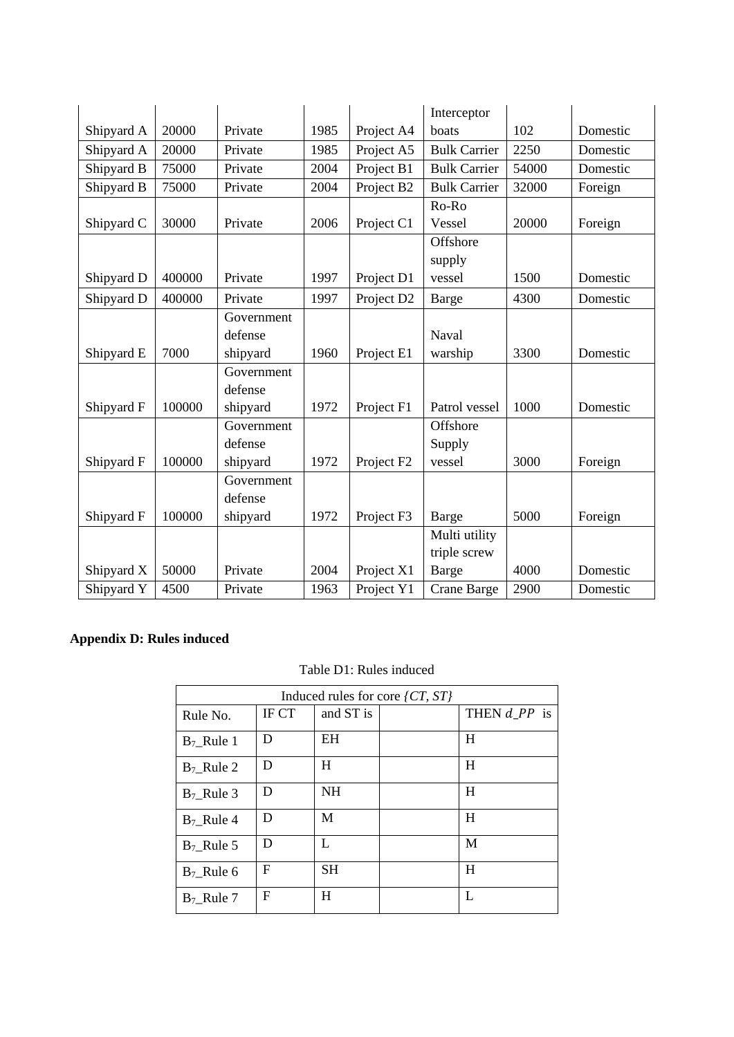|            |        |            |      |                        | Interceptor         |       |          |
|------------|--------|------------|------|------------------------|---------------------|-------|----------|
| Shipyard A | 20000  | Private    | 1985 | Project A4             | boats               | 102   | Domestic |
| Shipyard A | 20000  | Private    | 1985 | Project A5             | <b>Bulk Carrier</b> | 2250  | Domestic |
| Shipyard B | 75000  | Private    | 2004 | Project B1             | <b>Bulk Carrier</b> | 54000 | Domestic |
| Shipyard B | 75000  | Private    | 2004 | Project B2             | <b>Bulk Carrier</b> | 32000 | Foreign  |
|            |        |            |      |                        | Ro-Ro               |       |          |
| Shipyard C | 30000  | Private    | 2006 | Project C1             | Vessel              | 20000 | Foreign  |
|            |        |            |      |                        | Offshore            |       |          |
|            |        |            |      |                        | supply              |       |          |
| Shipyard D | 400000 | Private    | 1997 | Project D1             | vessel              | 1500  | Domestic |
| Shipyard D | 400000 | Private    | 1997 | Project D <sub>2</sub> | Barge               | 4300  | Domestic |
|            |        | Government |      |                        |                     |       |          |
|            |        | defense    |      |                        | Naval               |       |          |
| Shipyard E | 7000   | shipyard   | 1960 | Project E1             | warship             | 3300  | Domestic |
|            |        | Government |      |                        |                     |       |          |
|            |        | defense    |      |                        |                     |       |          |
| Shipyard F | 100000 | shipyard   | 1972 | Project F1             | Patrol vessel       | 1000  | Domestic |
|            |        | Government |      |                        | Offshore            |       |          |
|            |        | defense    |      |                        | Supply              |       |          |
| Shipyard F | 100000 | shipyard   | 1972 | Project F <sub>2</sub> | vessel              | 3000  | Foreign  |
|            |        | Government |      |                        |                     |       |          |
|            |        | defense    |      |                        |                     |       |          |
| Shipyard F | 100000 | shipyard   | 1972 | Project F3             | Barge               | 5000  | Foreign  |
|            |        |            |      |                        | Multi utility       |       |          |
|            |        |            |      |                        | triple screw        |       |          |
| Shipyard X | 50000  | Private    | 2004 | Project X1             | Barge               | 4000  | Domestic |
| Shipyard Y | 4500   | Private    | 1963 | Project Y1             | Crane Barge         | 2900  | Domestic |

## **Appendix D: Rules induced**

## Table D1: Rules induced

| Induced rules for core $\{CT, ST\}$ |       |           |  |                              |
|-------------------------------------|-------|-----------|--|------------------------------|
| Rule No.                            | IF CT | and ST is |  | THEN $d$ <sub>P</sub> $P$ is |
| $B_7$ _Rule 1                       | D     | EH        |  | H                            |
| $B_7$ Rule 2                        | D     | H         |  | H                            |
| $B_7$ Rule 3                        | D     | <b>NH</b> |  | H                            |
| $B_7$ Rule 4                        | D     | M         |  | H                            |
| $B_7$ Rule 5                        | D     | L         |  | M                            |
| $B_7$ Rule 6                        | F     | <b>SH</b> |  | H                            |
| $B_7$ _Rule 7                       | F     | H         |  | L                            |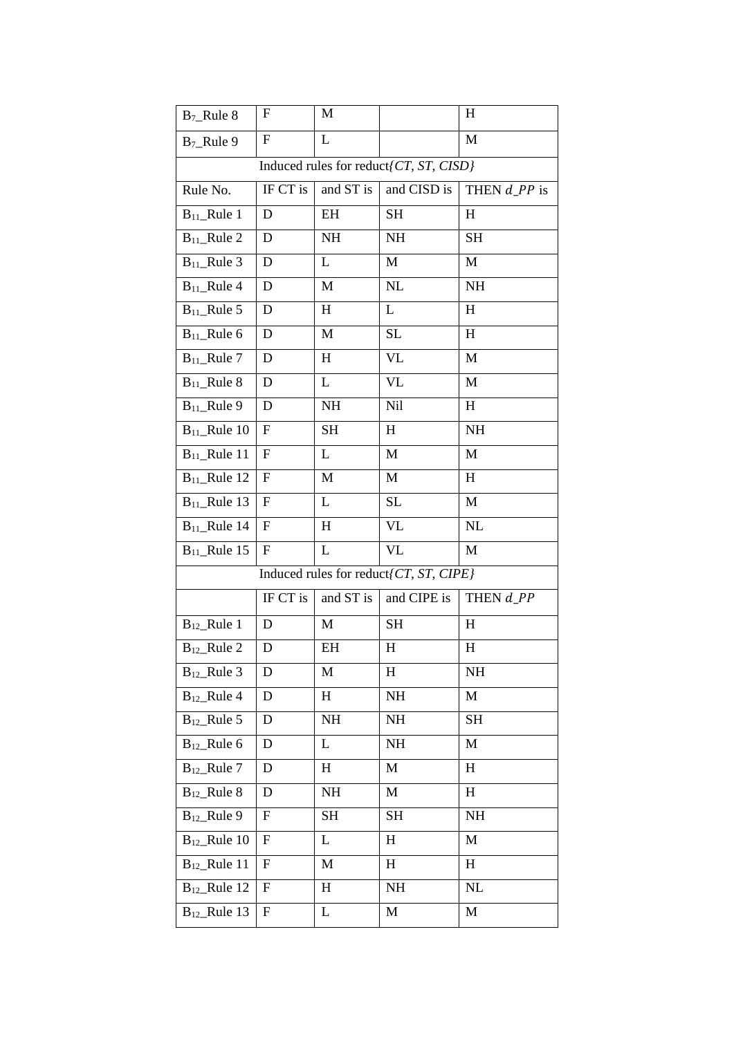| $B_7$ _Rule 8     | F                                      | M         |                                         | $\boldsymbol{\mathrm{H}}$ |  |
|-------------------|----------------------------------------|-----------|-----------------------------------------|---------------------------|--|
| $B_7$ _Rule 9     | ${\bf F}$                              | L         |                                         | M                         |  |
|                   | Induced rules for reduct/CT, ST, CISD} |           |                                         |                           |  |
| Rule No.          | IF CT is                               | and ST is | and CISD is                             | THEN $d$ <sub>PP</sub> is |  |
| $B_{11}$ _Rule 1  | D                                      | EΗ        | <b>SH</b>                               | H                         |  |
| $B_{11}$ _Rule 2  | D                                      | NH        | NH                                      | <b>SH</b>                 |  |
| $B_{11}$ _Rule 3  | D                                      | L         | M                                       | M                         |  |
| $B_{11}$ _Rule 4  | D                                      | M         | NL                                      | NH                        |  |
| $B_{11}$ _Rule 5  | D                                      | H         | L                                       | H                         |  |
| $B_{11}$ _Rule 6  | D                                      | M         | SL                                      | $H_{\rm}$                 |  |
| $B_{11}$ _Rule 7  | D                                      | H         | <b>VL</b>                               | M                         |  |
| $B_{11}$ _Rule 8  | D                                      | L         | <b>VL</b>                               | M                         |  |
| $B_{11}$ _Rule 9  | D                                      | NH        | Nil                                     | H                         |  |
| $B_{11}$ _Rule 10 | F                                      | <b>SH</b> | $H_{\rm}$                               | NH                        |  |
| $B_{11}$ _Rule 11 | ${\bf F}$                              | L         | M                                       | M                         |  |
| $B_{11}$ _Rule 12 | F                                      | M         | M                                       | H                         |  |
| $B_{11}$ _Rule 13 | F                                      | L         | SL                                      | M                         |  |
| $B_{11}$ _Rule 14 | F                                      | $H_{\rm}$ | VL                                      | NL                        |  |
| $B_{11}$ _Rule 15 | ${\bf F}$                              | L         | <b>VL</b>                               | M                         |  |
|                   |                                        |           | Induced rules for reduct [CT, ST, CIPE] |                           |  |
|                   | IF CT is                               | and ST is | and CIPE is                             | THEN d_PP                 |  |
| $B_{12}$ _Rule 1  | D                                      | M         | <b>SH</b>                               | H                         |  |
| $B_{12}$ _Rule 2  | D                                      | EH        | H                                       | $H_{\rm}$                 |  |
| $B_{12}$ _Rule 3  | D                                      | M         | H                                       | NH                        |  |
| $B_{12}$ _Rule 4  | D                                      | H         | NH                                      | M                         |  |
| $B_{12}$ _Rule 5  | D                                      | <b>NH</b> | NH                                      | SH                        |  |
| $B_{12}$ _Rule 6  | D                                      | L         | NH                                      | M                         |  |
| $B_{12}$ _Rule 7  | D                                      | H         | M                                       | H                         |  |
| $B_{12}$ _Rule 8  | D                                      | <b>NH</b> | M                                       | H                         |  |
| $B_{12}$ _Rule 9  | ${\rm F}$                              | <b>SH</b> | SH                                      | NH                        |  |
| $B_{12}$ _Rule 10 | F                                      | L         | H                                       | M                         |  |
| $B_{12}$ _Rule 11 | F                                      | M         | H                                       | H                         |  |
| $B_{12}$ _Rule 12 | F                                      | H         | NH                                      | NL                        |  |
| $B_{12}$ _Rule 13 | ${\rm F}$                              | L         | M                                       | M                         |  |